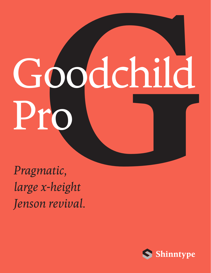# Goodchild

Pragmatic, large x-height Jenson revival.

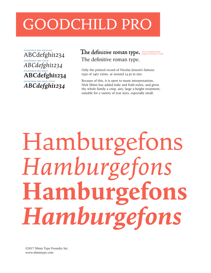# GOODCHILD PRO

goodchild pro regular ABCdefghi1234 goodchild pro italic *ABCdefghi1234* goodchild pro bold **ABCdefghi1234** goodchild pro bold italic *ABCdefghi1234*

### The definitive roman type. Text assembled from images of Jenson's work.

Only the printed record of Nicolas Jenson's famous type of 1467 exists, at around 14 pt in size.

Because of this, it is open to many interpretations. Nick Shinn has added italic and bold styles, and given the whole family a crisp, airy, large x-height treatment, suitable for a variety of text sizes, especially small.

# Hamburgefons *Hamburgefons* **Hamburgefons** *Hamburgefons*

©2017 Shinn Type Foundry Inc. www.shinntype.com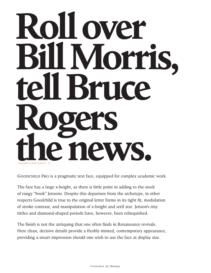# **Roll over Bill Morris, tell Bruce Rogers the news.** Goodchild Pro Bold, tracked to –25.

Goodchild Pro is a pragmatic text face, equipped for complex academic work.

The face has a large x-height, as there is little point in adding to the stock of rangy "book" Jensons. Despite this departure from the archetype, in other respects Goodchild is true to the original letter forms in its tight fit, modulation of stroke contrast, and manipulation of x-height and serif size. Jenson's tiny tittles and diamond-shaped periods have, however, been relinquished.

The finish is not the antiquing that one often finds in Renaissance revivals. Here clean, decisive details provide a freshly minted, contemporary appearance, providing a smart impression should one wish to use the face at display size.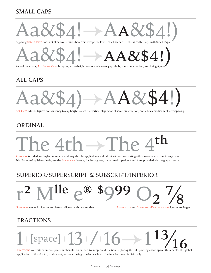### SMALL CAPS



As well as letters, ALL SMALL CAPS brings up same-height versions of currency symbols, some punctuation, and lining figures.

### ALL CAPS

# $Aa8x54) \rightarrow AA8x54!)$

All Caps adjusts figures and currency to cap height, raises the vertical alignment of some punctuation, and adds a modicum of letterspacing.

### ORDINAL

# The 4th $\rightarrow$ The 4<sup>th</sup>

ORDINAL is coded for English numbers, and may thus be applied in a style sheet without converting other lower case letters to superiors. Nb: For non-English ordinals, use the SUPERIORS feature; for Portuguese, underlined superiors<sup>ª</sup> and<sup>º</sup> are provided via the glyph palette.

### SUPERIOR/SUPERSCRIPT & SUBSCRIPT/INFERIOR

# $r^2$  M<sup>lle</sup> e<sup>® \$999</sup> O<sub>2</sub>  $\frac{7}{8}$

Superior works for figures and letters; aligned with one another. Numerator and Subscript/Denominator figures are larger.

### **FRACTIONS**

# $[space]+13+/+16$

Fractions converts "number-space-number-slash-number" to integer and fraction, replacing the full space by a thin space; this enables the global application of the effect by style sheet, without having to select each fraction in a document individually.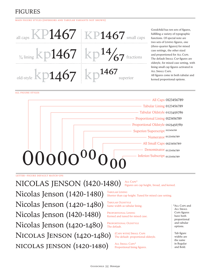### FIGURES

#### main figure styles (inferiors and tabular variants not shown)



Goodchild has ten sets of figures, fulfilling a variety of typographic functions. Of special note are two sets of Lining figures, one (three-quarter figures) for mixed case settings, the other sized and proportioned for All Caps. The default SMALL CAP figures are oldstyle, for mixed case setting, with lining small cap figures activated in All Small Caps. All figures come in both tabular and

kerned proportional options.

#### all figure styles



#### letter–figure default match-ups

NICOLAS JENSON (1420-1480)

Nicolas Jenson (1420-1480) Nicolas Jenson (1420-1480) Nicolas Jenson (1420-1480) Nicolas Jenson (1420-1480) Nicolas Jenson (1420-1480) Nicolas Jenson (1420-1480)

All Caps\* Figures are cap height, broad, and kerned.

Tabular Lining Shorter than cap height. Tuned for mixed case setting.

Tabular Oldstyle Same width as tabular lining.

PROPORTIONAL LINING Kerned and tuned for mixed case.

PROPORTIONAL OLDSTYLE The default.

> (Caps with) Small Caps The default: proportional oldstyle.

All Small Caps\* Proportional lining figures. \*All Caps and All Small Caps figures have both proportional and tabular options.

Tab figure widths are the same in Regular and Bold.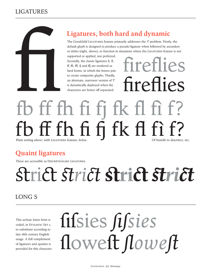

### **Ligatures, both hard and dynamic**

The Goodchild LIGATURES feature primarily addresses the 'f' problem. Firstly, the default glyph is designed to produce a pseudo-ligature when followed by ascenders or tittles (right, above), to function in situations where the LIGATURES feature is not

supported or applied, nor preferred. Secondly, the classic ligatures fi, fl, ff, ffi, ffl, fj and ffj are rendered as *hard* forms, in which the letters join to create composite glyphs. Thirdly, an alternate, narrower version of 'f' is dynamically deployed when the characters are better off separated.

fireflies fireflies

# fb ff fh fi fj fk fl fì f?  $f_{\text{D}}$  fin  $f_{\text{D}}$  fin  $f_{\text{D}}$  fin  $f_{\text{D}}$  fin finith LIGATURES feature, below. Plain setting *above*; with LIGATURES feature, below.

# **Quaint ligatures**

These are accessible as DISCRETIONARY LIGATURES.

# strict *strict* **strict** *strict*

### LONG S

This archaic letter form is coded, in STYLISTIC SET 1, to substitute according to late 18th century English usage. A full complement of ligatures and quaints is provided for this character.

# sissies *sissies* slowest *slowest*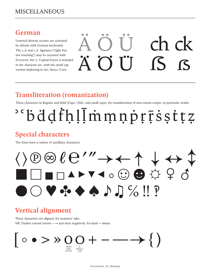### **German**

Lowered dieresis accents are activated by default with German keyboards. The c\_h and c\_k ligatures ("tight but not touching") may be accessed with STYLISTIC SET 2. Capital Eszett is included in the character set, with the small cap version deploying in All Small Caps.

# Ä Ö Ü Ä Ö Ü ch ck ẞ ẞ

# **Transliteration (romanization)**

These characters in Regular and Bold (Caps, U&lc, and small caps), for transliteration of non-roman scripts, in particular Arabic.

# ''bddfhllmmnprrssttz

# **Special characters**

The fonts have a variety of auxilliary characters.



# **Vertical alignment**

These characters are aligned, for neatness' sake. NB. Dashes extend arrows  $\longrightarrow$  just kern negatively. En-dash = minus.

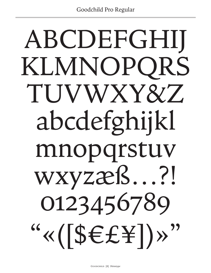# ABCDEFGHIJ KLMNOPQRS TUVWXY&Z abcdefghijkl mnopqrstuv wxyzæß...?! 0123456789  $``\left(\sqrt{5 \epsilon} \pm 1\right))''$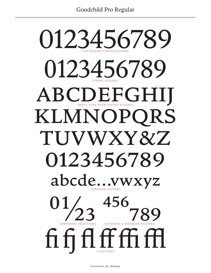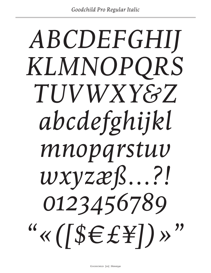# ABCDEFGHIJ KLMNOPQRS TUVWXY&Z abcdefghijkl mnopqrstuv wxyzæß...?! 0123456789  $``\kappa ([\$\epsilon\text{.}*)"$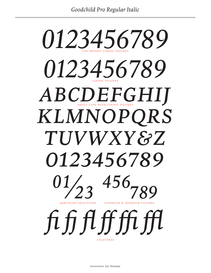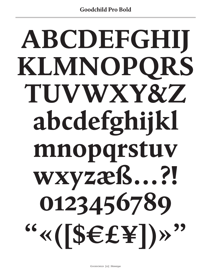# ABCDEFGHIJ KLMNOPQRS TUVWXY87. abcdefghijkl mnopqrstuv wxyzæß...?! 0123456789  $\kappa$  ([SEE\])»"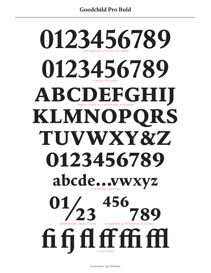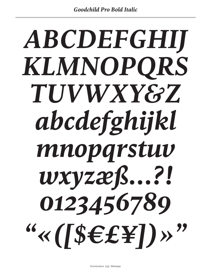# ABCDEFGHIJ KLMNOPQRS TUVWXY&Z abcdefghijkl mnopqrstuv wxyzæß...?! 0123456780  $\text{``}\left(\text{[SEE]}\right)\text{''}$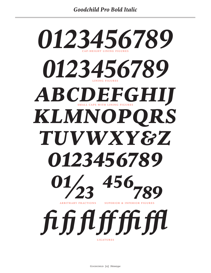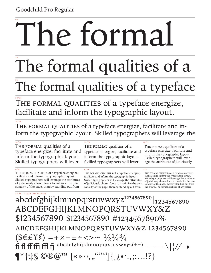### Goodchild Pro Regular

# 96 The formal

# The formal qualities of a

# The formal qualities of a typeface

24/26 THE FORMAL QUALITIES of a typeface energize, facilitate and inform the typographic layout.

18/21

THE FORMAL QUALITIES of a typeface energize, facilitate and inform the typographic layout. Skilled typographers will leverage the

 $14/15$  12/15 10/11 The formal qualities of a typeface energize, facilitate and typeface energize, facilitate and inform the typographic layout. Skilled typographers will lever-

 $9/10$   $8/10$   $7/8$ THE FORMAL QUALITIES of a typeface energize, facilitate and inform the typographic layout. Skilled typographers will leverage the attributes of judiciously chosen fonts to enhance the personality of the page, thereby standing out from

The formal qualities of a inform the typographic layout. Skilled typographers will lever-

THE FORMAL QUALITIES of a typeface energize, facilitate and inform the typographic layout. Skilled typographers will leverage the attributes of judiciously chosen fonts to maximize the personality of the page, thereby standing out from

The formal qualities of a typeface energize, facilitate and inform the typographic layout. Skilled typographers will leverage the attributes of judiciously

THE FORMAL QUALITIES of a typeface energize, facilitate and inform the typographic layout. Skilled typographers will leverage the attributes of judiciously chosen fonts to maximize the personality of the page, thereby standing out from the crowd. The formal qualities of a typeface

24 pt. major characters abcdefghijklmnopqrstuvwxyz<sup>1234567890</sup>|1234567890 ABCDEFGHIJKLMNOPQRSTUVWXY&Z \$1234567890 \$1234567890 #1234567890% abcdefghijklmnopqrstuvwxy&z 1234567890  $($EE\neq\emptyset) = +x-±÷>>~^{1/2}_{2/4}^{3/4}$  $\hat{f}$  f ff ffi ffl fj abcdefghijklmnopqrstuvwxyz(+-) --- \|\//  $\rightarrow$  $\P^{\star}$ † $\uparrow$ S  $\odot$  $\odot$ @<sup>TM</sup>  $[\&\rightarrow\&\rightarrow\cdots$ <sup>"</sup>''|{ $i$ ¿•·.,;:...!?}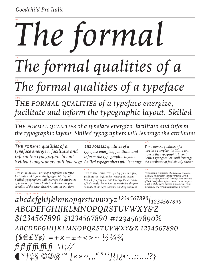*Goodchild Pro Italic*

# 96 *The formal*

# $The formal$  qualities of a

### 36 *The formal qualities of a typeface*

24/26 *The formal qualities of a typeface energize, facilitate and inform the typographic layout. Skilled* 

18/21

*The formal qualities of a typeface energize, facilitate and inform the typographic layout. Skilled typographers will leverage the attributes* 

*The formal qualities of a typeface energize, facilitate and inform the typographic layout. Skilled typographers will leverage Skilled typographers will leverage the attributes of judiciously chosen* 

 $9/10$  8/10  $7/8$ *The formal qualities of a typeface energize, facilitate and inform the typographic layout. Skilled typographers will leverage the attributes of judiciously chosen fonts to enhance the personality of the page, thereby standing out from* 

#### $14/15$  10/11

*The formal qualities of a typeface energize, facilitate and inform the typographic layout.* 

*The formal qualities of a typeface energize, facilitate and inform the typographic layout. Skilled typographers will leverage the attributes of judiciously chosen fonts to maximize the personality of the page, thereby standing out from* 

*The formal qualities of a typeface energize, facilitate and inform the typographic layout. Skilled typographers will leverage* 

*The formal qualities of a typeface energize, facilitate and inform the typographic layout. Skilled typographers will leverage the attributes of judiciously chosen fonts to maximize the personality of the page, thereby standing out from the crowd. The formal qualities of a typeface* 

24 pt. major characters *abcdefghijklmnopqrstuvwxyz1234567890|1234567890 ABCDEFGHIJKLMNOPQRSTUVWXY&Z \$1234567890 \$1234567890 #1234567890% abcdefghijklmnopqrstuvwxy&z 1234567890*   $($  *\$*€£¥¢) = + × − ± ÷ < > ~  $\frac{1}{2}$  $\frac{1}{4}$  $\frac{3}{4}$ *fi fl ff ffi ffl fj \|¦/⁄ ¶\*†‡§ ©®@™ [«»‹›' """'']{¡¿•·.,;:…!?}*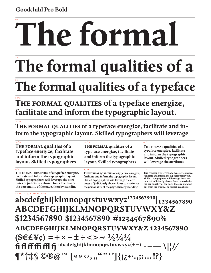### **Goodchild Pro Bold**

# 96 **The formal**

# 48 **The formal qualities of a**

### 36 **The formal qualities of a typeface**

24/26 THE FORMAL QUALITIES of a typeface energize, **facilitate and inform the typographic layout.** 

18/21 THE FORMAL QUALITIES of a typeface energize, facilitate and in**form the typographic layout. Skilled typographers will leverage** 

**The formal qualities of a typeface energize, facilitate and inform the typographic layout. Skilled typographers** 

 $9/10$   $8/10$   $7/8$ **The formal qualities of a typeface energize, facilitate and inform the typographic layout. Skilled typographers will leverage the attributes of judiciously chosen fonts to enhance the personality of the page, thereby standing** 

#### $14/15$  12/15 10/11

**The formal qualities of a typeface energize, facilitate and inform the typographic layout. Skilled typographers** 

**The formal qualities of a typeface energize, facilitate and inform the typographic layout. Skilled typographers will leverage the attributes of judiciously chosen fonts to maximize the personality of the page, thereby standing** 

**The formal qualities of a typeface energize, facilitate and inform the typographic layout. Skilled typographers will leverage the attributes** 

**The formal qualities of a typeface energize, facilitate and inform the typographic layout. Skilled typographers will leverage the attributes of judiciously chosen fonts to maximize the per-sonality of the page, thereby standing out from the crowd. The formal qualities of** 

24 pt. major characters **abcdefghijklmnopqrstuvwxyz1234567890|1234567890 ABCDEFGHIJKLMNOPQRSTUVWXY&Z \$1234567890 \$1234567890 #1234567890% abcdefghijklmnopqrstuvwxy&z 1234567890**  (\$€£¥¢) = + × - ± ÷ < > ~  $\frac{1}{2}\frac{1}{4}\frac{3}{4}$  $\overline{\mathbf{f}}$ **fi**  $\overline{\mathbf{f}}$ **ff**  $\overline{\mathbf{f}}$ **fi**  $\overline{\mathbf{f}}$ **f**  $\overline{\mathbf{f}}$  abcdefghijklmnopqrstuvwxyz(+-) --- \||// **¶\*†‡§ ©®@™ [«»‹›' """'']{¡¿•·.,;:…!?}**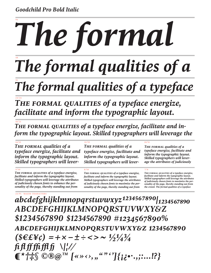*Goodchild Pro Bold Italic*

# 96 *The formal*

# $The formal$  qualities of a

# 36 *The formal qualities of a typeface*

24/26 *The formal qualities of a typeface energize, facilitate and inform the typographic layout.* 

18/21 *The formal qualities of a typeface energize, facilitate and inform the typographic layout. Skilled typographers will leverage the* 

*The formal qualities of a typeface energize, facilitate and inform the typographic layout. Skilled typographers will lever-*

*The formal qualities of a typeface energize, facilitate and inform the typographic layout. Skilled typographers will leverage the attributes of judiciously chosen fonts to enhance the personality of the page, thereby standing out from* 

### *The formal qualities of a typeface energize, facilitate and*

*inform the typographic layout. Skilled typographers will lever-*

#### $9/10$  8/10  $7/8$

*The formal qualities of a typeface energize, facilitate and inform the typographic layout. Skilled typographers will leverage the attributes of judiciously chosen fonts to maximize the personality of the page, thereby standing out from* 

#### $14/15$  10/11

*The formal qualities of a typeface energize, facilitate and inform the typographic layout. Skilled typographers will leverage the attributes of judiciously* 

*The formal qualities of a typeface energize, facilitate and inform the typographic layout. Skilled typographers will leverage the attributes of judiciously chosen fonts to maximize the personality of the page, thereby standing out from the crowd. The formal qualities of a typeface* 

# 24 pt. major characters *abcdefghijklmnopqrstuvwxyz1234567890|1234567890 ABCDEFGHIJKLMNOPQRSTUVWXY&Z \$1234567890 \$1234567890 #1234567890% abcdefghijklmnopqrstuvwxy&z 1234567890 (\$€£¥¢) =+×−±÷<>~ ½¼¾ fi flff ffi ffl fj \|¦/⁄ ¶\*†‡§ ©®@™ [«»‹›' """'']{¡¿•·.,;:…!?}*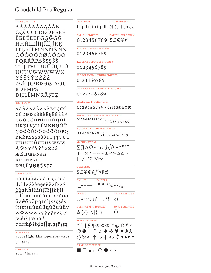### Goodchild Pro Regular

| <b>LATIN CAPITALS</b><br>AÁÀÀÄÃÅĄĀĂB<br>CÇČĆĊĈDĐĎEÉÈÊ           | <b>LIGATURES</b><br><b>DISCRETIONARY</b><br>$\operatorname{fi}$ $\operatorname{fi}$ $\operatorname{ff}$ $\operatorname{ff}$ $\operatorname{ff}$ $\operatorname{ff}$ $\operatorname{ch}$ $\operatorname{ch}$ $\operatorname{ch}$ $\operatorname{ch}$ $\operatorname{ch}$ |
|-----------------------------------------------------------------|-------------------------------------------------------------------------------------------------------------------------------------------------------------------------------------------------------------------------------------------------------------------------|
| ËĘĒĚĔĖFGĢĞĠĜ<br>HĦĤIİÍÌÌĬĪĬĬJÎKĶ                                | <b>CAPITAL FIGURES</b><br><b>CAPITAL CURRENCY</b><br>0123456789 \$£€\¢                                                                                                                                                                                                  |
| LŁĻĿĽĹMNÑŅŃŇŊ<br>OÓÒÔÖÕØŐŐŌŎ                                    | <b>TABULAR LINING FIGURES</b><br>0123456789                                                                                                                                                                                                                             |
| PQRŔŘŖSŠŞŞŚŜ<br>TŤŢŢŦUÚÙÛÜŲŪŮ<br>ŰŬŨVWŴŴŴŴX                     | TABULAR OLDSTYLE FIGURES<br>0123456789                                                                                                                                                                                                                                  |
| YÝŸŶŶZŽŻŹ<br>ÆÆIJŒÐÞƏß ÄÖÜ                                      | PROPORTIONAL LINING FIGURES<br>0123456789                                                                                                                                                                                                                               |
| BDFMPST<br>DHLLMNRRSTZ                                          | PROPORTIONAL OLDSTYLE FIGURES<br>0123456789                                                                                                                                                                                                                             |
| <b>SMALL CAPS</b>                                               | SMALL CAP FIGURES ETC.                                                                                                                                                                                                                                                  |
| AÁÀÂÄÃÅĄĀĂBCÇČĆ                                                 | $0123456789 \cdot 2?1!$ \$£€¥&                                                                                                                                                                                                                                          |
| ĊĈDĐĎEÉÈÊËĘĒĚĔĖF<br>GĢĞĠĜHĦĤIİÍÌĨĬĮĪĨĬ<br>JĴKĶLŁĻĿĽĹMNÑŅŃŇ      | SUPERIOR & INFERIOR FIGURES ETC.                                                                                                                                                                                                                                        |
| NOÓÒÔÖÕØØŐŌŎPQ<br>RŔŘŖSŠŞŞŚŜTŤŢŢŦUÚ                             | <b>NUMERATOR &amp; DENOMINATOR</b><br>0123456789/0123456789                                                                                                                                                                                                             |
| ÙÛÜŲŪŮŰŬŨVWŴŴ<br><b><i><u>wwxyýÿŷỳzžżź</u></i></b>              | <b>MATHEMATICAL</b><br>$\Sigma \Pi \Delta \Omega \approx \mu \pi \int \sqrt{\partial} \sim \wedge^{\circ}$                                                                                                                                                              |
| ÆǼIJŒÐÞƏß<br><b>BDFMPST</b>                                     | $+-x \div = z \div \pm z > 5$<br>$\frac{1}{1}$ / # $\sqrt{0.960}$                                                                                                                                                                                                       |
| DHLLMNRRSTZ                                                     | <b>CURRENCY</b>                                                                                                                                                                                                                                                         |
| LOWER CASE                                                      | \$£¥€⊄ <i>f</i> ¤F£                                                                                                                                                                                                                                                     |
| aáàâäãåaāăbcçčćċĉ<br>dďđeéèêëęēěĕefgģğ<br>ġĝhħĥiíìîïıjīĩĭjîkķlł | <b>DASHES</b><br><b>QUOTES</b><br>$\mathbb{H}^{(\alpha)}$ $\otimes$ $\times$ $\otimes$ $\ldots$                                                                                                                                                                         |
| ļŀľĺmnñņńňŋ'noóòôö<br>õøóőōŏpqrŕřŗsšşşśŝ                        | <b>POINTS</b><br><b>CASE SENSITIVE</b><br>.,•…;¿¡?!?‼ ¿i                                                                                                                                                                                                                |
| ftťttŧuúùûüyūůűŭŭv<br>wŵŵẃẅxyýÿŷỳzžżź                           | <b>DELIMITERS &amp; JOINERS</b><br><b>CASE SENSITIVE</b><br>$\mathcal{X}(7)[\setminus]\{\}\$<br>$\left( \right)$                                                                                                                                                        |
| ææðijœþəß<br>bdfmpstdhllmnrrstz                                 | <b>MISCELLANEOUS</b><br>$*$ † $\ddagger$ $\S$ ¶®©®™@ $\theta$ $\ell$ %                                                                                                                                                                                                  |
| <b>SUPERIORS</b><br>abcdeèfghijklmnopqrstuvwxyz<br>$(+-)$ ®\$¢  | ☺☺ុុ្្ងុ∙<br>()◎←↑→↓↔‡◀▲▶▼                                                                                                                                                                                                                                              |
| <b>ORDINALS</b><br><u>ao∆</u> dhnrst                            | <b>GRAPHIC ELEMENTS</b><br>$($ )<br>$\Box$ $\Box$                                                                                                                                                                                                                       |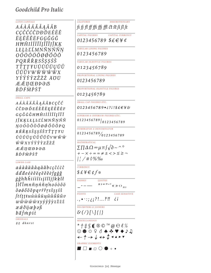### Goodchild Pro Italic

| <b>LATIN CAPITALS</b>                                                                                 | <b>LIGATURES</b><br><b>DISCRETIONARY</b>                                                                                                    |
|-------------------------------------------------------------------------------------------------------|---------------------------------------------------------------------------------------------------------------------------------------------|
| $A\,\hat{A}\,\hat{A}\,\hat{A}\,\ddot{A}\,\tilde{A}\,\tilde{A}\,\tilde{A}\,A\,\tilde{A}\,\tilde{A}\,B$ | fi fj fl ff ffi ffj ffl čt st fi fl ft                                                                                                      |
| CÇČĆĊĈDĐĎEÉÈÊ                                                                                         | <b>CAPITAL FIGURES</b><br>CAPITAL CURRENCY                                                                                                  |
| ËĘĒĚĔĖFGĢĞĠĜ                                                                                          | 0123456789 \$£€¥⊄                                                                                                                           |
| HĦĤIİÍÎÎĬĮĨĬĬJĴKĶ                                                                                     |                                                                                                                                             |
| LŁĻĿĽĹMNÑŅŃŇN                                                                                         | <b>TABULAR LINING FIGURES</b>                                                                                                               |
| <i>OÓÒÔÖÕØØŐŌŎ</i>                                                                                    | 0123456789                                                                                                                                  |
| PQRŔŘŖSŠŞŞŚŜ                                                                                          | <b>TABULAR OLDSTYLE FIGURES</b>                                                                                                             |
| TŤŢŢŦUÚÙÛÜŲŪŮ                                                                                         | 0123456789                                                                                                                                  |
| ŰŬŨVWŴŴŴŴX                                                                                            |                                                                                                                                             |
| YÝŸŶŶZŽŻŹ ÄOÜ                                                                                         | PROPORTIONAL LINING FIGURES<br>0123456789                                                                                                   |
| ÆÆIJŒÐÞƏß                                                                                             |                                                                                                                                             |
| $\dot{B} \dot{D} \dot{F} \dot{M} \dot{P} \dot{S} \dot{T}$                                             | PROPORTIONAL OLDSTYLE FIGURES                                                                                                               |
| <b>SMALL CAPS</b>                                                                                     | 0123456789                                                                                                                                  |
|                                                                                                       | SMALL CAP FIGURES ETC.                                                                                                                      |
| ĊĈDĐĎEÉÈÊËĘĒĚĔĖF                                                                                      | $0123456789$ · $i$ ? $i!$ \$£€¥&                                                                                                            |
| GĢĞĠĜHĦĤIİÍÌĨĬĮĪĨĬ                                                                                    | <b>SUPERIOR &amp; INFERIOR FIGURES ETC.</b>                                                                                                 |
| JĴKĶLŁĻĿĽĹMNÑŅŃŇ                                                                                      | 0123456789 0123456789                                                                                                                       |
| NOÓÒÔÖÕØØŐŌŎPQ                                                                                        |                                                                                                                                             |
| <i>RŔŘŖSŠŞŞŚŜTŤŢŢŦU</i>                                                                               | NUMERATOR & DENOMINATOR                                                                                                                     |
| ÚÙÛÜŲŪŮŰŬŨVWŴŴ                                                                                        | 0123456789/0123456789                                                                                                                       |
| <i>ŴŴXYÝŸŶŶZŽŻŹ</i>                                                                                   | MATHEMATICAL                                                                                                                                |
| ÆÉIJŒÐÞƏß                                                                                             | $\sum \prod \Delta \Omega \approx \mu \pi \int \sqrt{\partial} \sim$                                                                        |
| $\dot{B} \dot{D} \dot{F} \dot{M} \dot{P} \dot{S} \dot{T}$                                             | $+-x \div \equiv \approx \neq \pm \lt\gt \leq \geq -$                                                                                       |
|                                                                                                       | $\frac{1}{1}$ / # $\sqrt[6]{\frac{6}{10}}$                                                                                                  |
| <b>LOWER CASE</b>                                                                                     |                                                                                                                                             |
| a á à â ä ã å a ā ă b c ç č ć ċ ĉ                                                                     | <b>CURRENCY</b>                                                                                                                             |
| dď đe é è ê ë e ē ě ĕ ė f g ģ ğ                                                                       | $\$\pounds \yen \in \phi f$ ¤                                                                                                               |
| ġĝhħĥiíìîïıjīĩĭjĵkķlł                                                                                 | <b>DASHES</b><br><b>QUOTES</b>                                                                                                              |
| ļ l·l' l m n ñ ņ ń ň ŋ 'n o ó ò ô ö                                                                   | $\frac{1}{\ln(n \cdot \epsilon)}$ « » $\leftrightarrow$ ""                                                                                  |
| $\tilde{o}$ ø $\acute{o}$ $\tilde{o}$ $\tilde{o}$ $\breve{\rho}$ q r ŕ ř r s š ş ş ś ŝ                | <b>POINTS</b><br><b>CASE SENSITIVE</b>                                                                                                      |
| ftť t t t u ú ù û ü u ū ů ű ŭ ũ v                                                                     | .,•∵;¿¡?!?‼ ¿i                                                                                                                              |
| $w \hat{w} \hat{w} \hat{w} \hat{w} xy \hat{y} \hat{y} \hat{y} z \hat{z} \hat{z} \hat{z}$              |                                                                                                                                             |
| $x \not\cong \delta$ ij œ $p \circ \beta$                                                             | <b>DELIMITERS &amp; JOINERS</b>                                                                                                             |
| $b$ d f $m$ $\dot{\rho}$ s $t$                                                                        | $\mathcal{S}(7)[1][1]$                                                                                                                      |
| <b>ORDINALS</b><br>ao dhnrst                                                                          | <b>MISCELLANEOUS</b>                                                                                                                        |
|                                                                                                       | $*$ $\uparrow$ $\uparrow$ $\searrow$ $\blacksquare$ $\heartsuit$ $\heartsuit$ $\heartsuit$ $\heartsuit$ $\theta$ $\theta$ $\theta$ $\theta$ |
|                                                                                                       | ☺⚫ְְָॢ                                                                                                                                      |
|                                                                                                       | $\leftarrow$ $\uparrow$ $\rightarrow$ $\downarrow$ $\leftrightarrow$ $\updownarrow$ $\prec$ $\star$ $\triangleright$ $\triangleright$       |
|                                                                                                       | <b>GRAPHIC ELEMENTS</b>                                                                                                                     |

 $\blacksquare$  $\Box$  $\blacksquare$  $\Box$  $\bigcirc$   $\bullet$   $\circ$   $\bullet$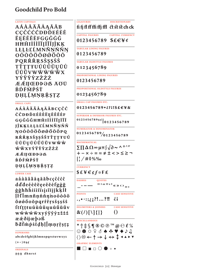### **Goodchild Pro Bold**

**LATIN CAPITALS** AÁÀÂÄÃÅĄĀĂB CCCCCCDDDEEEE **ËEĒĚĔĖFGĢĞĠĜ** HHĤIIÍÎÎIIĨĬJĴKĶ LŁLLĽĹMNÑŅŃŇN  $00000000000$ PORŔŘRSŠSSŚŜ TŤŢŢŦUÚÙÛÜUŪŮ ŰŬŨVWŴŴŴŴX YÝŸŶŶZŽŻŹ **ÆÆIJŒÐÞƏß ÄÖÜ BDFMPST** DHLLMNRRSTZ

#### **SMALL CAPS**

AÁÀÂÄÃÅĄĀĂBCÇČĆ **CODDDEEEEEEEEEF** GĢĞĠĜHĦĤIİÍÌĨĬĮĪĨĬ JĴKĶLŁĻĿĽĹMNÑŅŃŇ NOÓÒÔÖÕØØŐŌŎPQ RŔŘŖSŠŞŞŚŜTŤŢŢŦUÚ Ù Û Ü U Ū Ů Ű Ŭ Ũ V W Ŵ Ŵ **ŴŴXYÝŸŶŶZŽŻŹ ÆÉIJŒÐÞƏß BDFMPST** DHLLMNRRSTZ

#### **LOWER CASE**

aáàâäãåaāăbcçčćċĉ dďđeéèêëeeěěėfgģğ ġĝhħĥiíìîïıjıĩĭjîkklł llllmnñnnnnnoódôö õøőőoŏpqrŕřŗsšşşśŝ ftťtttuúuûüyuůűŭŭv wŵŵŵŵxyýÿŷỳzžżź ææðijæþaß bdfmpstdhllmnrrstz

**SUPERIORS** 

abcdeèfghijklmnopqrstuvwxyz  $(+ -)$ ®\$¢

**ORDINALS** 

ao<sub>A</sub> dhnrst



#### **GRAPHIC ELEMENTS**

 $\blacksquare$  $\blacksquare$  $\blacksquare$  $\blacksquare$  $\bigcirc$   $\spadesuit$   $\circ$   $\bullet$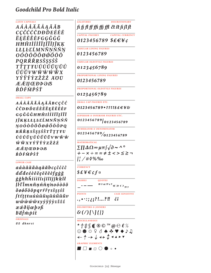### **Goodchild Pro Bold Italic**

**LATIN CAPITALS**  $A\,\dot{A}\,\dot{A}\,\ddot{A}\,\ddot{A}\,\ddot{A}\,\dot{A}\,\dot{A}\,\ddot{A}\,\ddot{A}\,\ddot{B}$ CÇČĆĊĈDĐĎEÉÈÊ ËĘĒĚĔĖFGĢĞĠĜ HĦĤIİÍÎÎIļĨĬJĴKK LŁĻĿĽĹMNÑŅŃŇN 00000000000 PORŔŘRSŠSSŚŜ **TŤŢŢŦUÚÙŰÜŲŪŮ** ŰŬŨVWŴŴŴŴX YÝŸŶŶZŽŽŹ AOU ÆÆIJŒÐÞƏß  $\dot{B} \dot{D} \dot{F} \dot{M} \dot{P} \dot{S} \dot{T}$ 

#### **SMALL CAPS**

AÁAAÄÄÅAAĀBCÇČĆ **CÔDĐĎEÉÈÊËĘĒĚĔĖF** GĢĞĠĜHĦĤIİÍÌÎÏĮĪĨĬ **JĴKĶLŁĻĿĽĹMNÑŅŃŇ** NOÓÒÔÖÕØØŐŌŎPQ RŔŘŖSŠŞȘŚŜTŤŢŢŦU Ú Ù Û Ü Ų Ū Ů Ű Ŭ Ũ V W Ŵ Ŵ *WWXYÝŸŶŶZŽŻŹ* ÆÆIJŒÐÞƏß **BDFMPST** 

#### **LOWER CASE**

aáàâäãåaaāabcçčćcĉ dď đe é è ê ë e ē ě ě ě fg g ğ *g*ĝhhĥiíiîiiiīĭijĵkklł *lll<sup>'</sup>ĺmnñnńňn'noóòôö* õøóőōŏpqrŕřrsšşsśŝ ftťtttuúùûüyūůűŭŭv  $w$ ŵ $\dot{w}$ ŵ $\ddot{w}$ xy $\dot{\gamma}$ y $\dot{\gamma}$ y $\dot{\gamma}$ zžżź  $x \notin \delta$ ijæ $p \in \mathcal{S}$  $b$ *dfmpst* 

ORDINALS  $\underline{a}\underline{o}$  dhnrst

| <b>LIGATURES</b><br><b>DISCRETIONARY</b>                                                                                                                                                                                                                            |
|---------------------------------------------------------------------------------------------------------------------------------------------------------------------------------------------------------------------------------------------------------------------|
| fi fj fl ff ffi ffj ffl & st fi fl ft                                                                                                                                                                                                                               |
| <b>CAPITAL FIGURES</b><br><b>CAPITAL CURRENCY</b>                                                                                                                                                                                                                   |
| 0123456789 \$£€¥¢                                                                                                                                                                                                                                                   |
| <b>TABULAR LINING FIGURES</b>                                                                                                                                                                                                                                       |
| 0123456789                                                                                                                                                                                                                                                          |
| <b>TABULAR OLDSTYLE FIGURES</b>                                                                                                                                                                                                                                     |
| 0123456789                                                                                                                                                                                                                                                          |
| <b>PROPORTIONAL LINING FIGURES</b><br>0123456789                                                                                                                                                                                                                    |
|                                                                                                                                                                                                                                                                     |
| PROPORTIONAL OLDSTYLE FIGURES<br>0123456789                                                                                                                                                                                                                         |
|                                                                                                                                                                                                                                                                     |
| <b>SMALL CAP FIGURES ETC.</b><br>$0123456789$ •??!!\$£€¥&                                                                                                                                                                                                           |
|                                                                                                                                                                                                                                                                     |
| <b>SUPERIOR &amp; INFERIOR FIGURES ETC.</b><br>0123456789 0123456789                                                                                                                                                                                                |
| <b>NUMERATOR &amp; DENOMINATOR</b>                                                                                                                                                                                                                                  |
| 0123456789/0123456789                                                                                                                                                                                                                                               |
| <b>MATHEMATICAL</b>                                                                                                                                                                                                                                                 |
| $\sum \prod \Delta \Omega \approx \mu \pi \int \sqrt{\partial} \thicksim \Lambda^{\circ}$                                                                                                                                                                           |
| + − x ÷ = ≈ ≠ ± < > ≤ ≥ ¬                                                                                                                                                                                                                                           |
| l' /#0%‰                                                                                                                                                                                                                                                            |
| <b>CURRENCY</b>                                                                                                                                                                                                                                                     |
| $\texttt{\$E} \texttt{\&} \texttt{\#} \texttt{\&} \texttt{\#} \texttt{\#} \texttt{\#}$                                                                                                                                                                              |
| <b>DASHES</b><br>OUOTES<br>$\overset{\text{\tiny{\textsf{(G11.1)}}}}{\longrightarrow} \overset{\text{\tiny{\textsf{(C1.1)}}}}{\longrightarrow} \overset{\text{\tiny{\textsf{(A)}}}}{\longrightarrow} \overset{\text{\tiny{\textsf{(A)}}}}{\longrightarrow} \cdots,$ |
|                                                                                                                                                                                                                                                                     |
| <b>POINTS</b><br>CASE SENSITIVE<br>.,•∙:;¿¡?!…?‼ ¿i                                                                                                                                                                                                                 |
| <b>DELIMITERS &amp; JOINERS</b>                                                                                                                                                                                                                                     |
| $\mathcal{E}(Z)$ [\]{ }                                                                                                                                                                                                                                             |
| <b>MISCELLANEOUS</b>                                                                                                                                                                                                                                                |
| $^{\star}$ †‡ $\mathcal{S}$ ( $\mathbb{R}$ $\mathbb{C}$ $^{\tau_M}$ $\varpi$ $\ominus$ $\ell$ $\%$                                                                                                                                                                  |
| ←↑→↓↔‡◀▲▶▼                                                                                                                                                                                                                                                          |
|                                                                                                                                                                                                                                                                     |

**GRAPHIC ELEMENTS** 

 $\blacksquare$  $\blacksquare$  $\blacksquare$  $\blacksquare$  $\bigcirc$   $\bullet$   $\circ$   $\bullet$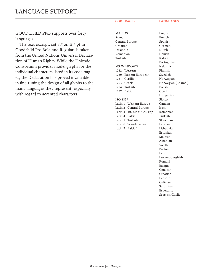#### GOODCHILD PRO supports over forty languages.

The text excerpt, set 8.5 on 11.5 pt.in Goodchild Pro Bold and Regular, is taken from the United Nations Universal Declaration of Human Rights. While the Unicode Consortium provides model glyphs for the individual characters listed in its code pages, the Declaration has proved invaluable in fine-tuning the design of all glyphs to the many languages they represent, especially with regard to accented characters.

**CODE PAGES LANGUAGES**

MAC OS Roman Central Europe Croatian Icelandic Romanian Turkish MS WINDOWS 1252 Western 1250 Eastern European 1251 Cyrillic 1253 Greek 1254 Turkish 1257 Baltic ISO 8859 Latin 1 Western Europe Latin 2 Central Europe Latin 3 Tu, Malt, Gal, Esp Latin 4 Baltic Latin 5 Turkish Latin 6 Scandinavian Latin 7 Baltic 2 English French Spanish German Dutch Danish Italian Portuguese Icelandic Finnish Swedish Norwegian Polish Czech Hungarian Slovak Catalan Irish Romanian Turkish Slovenian Latvian Lithuanian Estonian Maltese Albanian Welsh Breton Latin

Norwegian (Bokmål) Luxembourghish Romani Basque Corsican Croatian Faroese Galician Sardinian Esperanto Scottish Gaelic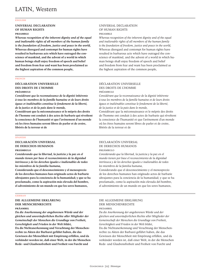### LATIN, Western

#### ENGLISH

#### **UNIVERSAL DECLARATION OF HUMAN RIGHTS preamble**

*Whereas recognition of the inherent dignity and of the equal and inalienable rights of all members of the human family is the foundation of freedom, justice and peace in the world,* **Whereas disregard and contempt for human rights have resulted in barbarous acts which have outraged the conscience of mankind, and the advent of a world in which human beings shall enjoy freedom of speech and belief and freedom from fear and want has been proclaimed as the highest aspiration of the common people,**

#### **FRENCH**

#### **DÉCLARATION UNIVERSELLE DES DROITS DE L'HOMME préambule**

*Considérant que la reconnaissance de la dignité inhérente à tous les membres de la famille humaine et de leurs droits égaux et inaliénables constitue le fondement de la liberté, de la justice et de la paix dans le monde,*

**Considérant que la méconnaissance et le mépris des droits de l'homme ont conduit à des actes de barbarie qui révoltent la conscience de l'humanité et que l'avènement d'un monde où les êtres humains seront libres de parler et de croire, libérés de la terreur et de**

#### spanish

#### **DECLARACIÓN UNIVERSAL DE DERECHOS HUMANOS preámbulo**

*Considerando que la libertad, la justicia y la paz en el mundo tienen por base el reconocimiento de la dignidad intrínseca y de los derechos iguales e inalienables de todos los miembros de la familia humana,*

**Considerando que el desconocimiento y el menosprecio de los derechos humanos han originado actos de barbarie ultrajantes para la conciencia de la humanidad; y que se ha proclamado, como la aspiración más elevada del hombre, el advenimiento de un mundo en que los seres humanos,** 

#### german

#### **DIE ALLGEMEINE ERKL�RUNG DER MENSCHENRECHTE präambel**

*Da die Anerkennung der angeborenen Würde und der gleichen und unveräußerlichen Rechte aller Mitglieder der Gemeinschaft der Menschen die Grundlage von Freiheit, Gerechtigkeit und Frieden in der Welt bildet,* **Da die Nichtanerkennung und Verachtung der Menschenrechte zu Akten der Barbarei geführt haben, die das Gewissen der Menschheit mit Empörung erfüllen, und da verkündet worden ist, daß einer Welt, in der die Menschen Rede- und Glaubensfreiheit und Freiheit von Furcht und** 

#### UNIVERSAL DECLARATION OF HUMAN RIGHTS

#### preamble

*Whereas recognition of the inherent dignity and of the equal and inalienable rights of all members of the human family is the foundation of freedom, justice and peace in the world,* Whereas disregard and contempt for human rights have resulted in barbarous acts which have outraged the conscience of mankind, and the advent of a world in which human beings shall enjoy freedom of speech and belief and freedom from fear and want has been proclaimed as the highest aspiration of the common people,

#### DÉCLARATION UNIVERSELLE DES DROITS DE L'HOMME préambule

*Considérant que la reconnaissance de la dignité inhérente à tous les membres de la famille humaine et de leurs droits égaux et inaliénables constitue le fondement de la liberté, de la justice et de la paix dans le monde,*

Considérant que la méconnaissance et le mépris des droits de l'homme ont conduit à des actes de barbarie qui révoltent la conscience de l'humanité et que l'avènement d'un monde où les êtres humains seront libres de parler et de croire, libérés de la terreur et de

#### DECLARACIÓN UNIVERSAL DE DERECHOS HUMANOS preámbulo

*Considerando que la libertad, la justicia y la paz en el mundo tienen por base el reconocimiento de la dignidad intrínseca y de los derechos iguales e inalienables de todos los miembros de la familia humana,*

Considerando que el desconocimiento y el menosprecio de los derechos humanos han originado actos de barbarie ultrajantes para la conciencia de la humanidad; y que se ha proclamado, como la aspiración más elevada del hombre, el advenimiento de un mundo en que los seres humanos,

#### DIE ALLGEMEINE ERKL�RUNG DER MENSCHENRECHTE präambel

*Da die Anerkennung der angeborenen Würde und der gleichen und unveräußerlichen Rechte aller Mitglieder der Gemeinschaft der Menschen die Grundlage von Freiheit, Gerechtigkeit und Frieden in der Welt bildet,* Da die Nichtanerkennung und Verachtung der Menschenrechte zu Akten der Barbarei geführt haben, die das Gewissen der Menschheit mit Empörung erfüllen, und da verkündet worden ist, daß einer Welt, in der die Menschen Rede- und Glaubensfreiheit und Freiheit von Furcht und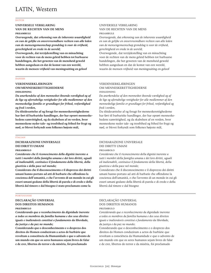### LATIN, Western

#### DUTCH

#### **UNIVERSELE VERKLARING VAN DE RECHTEN VAN DE MENS**

#### **preambule**

*Overwegende, dat erkenning van de inherente waardigheid en van de gelijke en onvervreemdbare rechten van alle leden van de mensengemeenschap grondslag is voor de vrijheid, gerechtigheid en vrede in de wereld;*

**Overwegende, dat terzijdestelling van en minachting voor de rechten van de mens geleid hebben tot barbaarse handelingen, die het geweten van de mensheid geweld hebben aangedaan en dat de komst van een wereld, waarin de mensen vrijheid van meningsuiting en geloof** 

#### **DANISH**

#### **VERDENSERKLÆRINGEN OM MENNESKERETTIGHEDERNE indledning**

*Da anerkendelse af den mennesket iboende værdighed og af de lige og ufortabelige rettigheder for alle medlemmer af den menneskelige familie er grundlaget for frihed, retfærdighed og fred i verden,*

**Da tilsidesættelse af og foragt for menneskerettighederne har ført til barbariske handlinger, der har oprørt menneskehedens samvittighed, og da skabelsen af en verden, hvor menneskene nyder tale- og trosfrihed og frihed for frygt og nød, er blevet forkyndt som folkenes højeste mål,**

#### italian

#### **DICHIARAZIONE UNIVERSALE DEI DIRITTI UMANI preambolo**

*Considerato che il riconoscimento della dignità inerente a tutti i membri della famiglia umana e dei loro diritti, uguali ed inalienabili, costituisce il fondamento della libertà, della giustizia e della pace nel mondo;*

**Considerato che il disconoscimento e il disprezzo dei diritti umani hanno portato ad atti di barbarie che offendono la coscienza dell'umanità, e che l'avvento di un mondo in cui gli esseri umani godano della libertà di parola e di credo e della libertà dal timore e dal bisogno è stato proclamato come la** 

#### portuguese

#### **DECLARAÇÃO UNIVERSAL DOS DIREITOS HUMANOS preâmbulo**

*Considerando que o reconhecimento da dignidade inerente a todos os membros da família humana e dos seus direitos iguais e inalienáveis constitui o fundamento da liberdade, da justiça e da paz no mundo;*

**Considerando que o desconhecimento e o desprezo dos direitos do Homen conduziram a actos de barbárie que revoltam a consciência da Humanidade e que o advento de um mundo em que os seres humanos sejam livres de falar e de crer, libertos do terror e da miséria, foi proclamado** 

#### UNIVERSELE VERKLARING VAN DE RECHTEN VAN DE MENS

preambule

*Overwegende, dat erkenning van de inherente waardigheid en van de gelijke en onvervreemdbare rechten van alle leden van de mensengemeenschap grondslag is voor de vrijheid, gerechtigheid en vrede in de wereld;*

Overwegende, dat terzijdestelling van en minachting voor de rechten van de mens geleid hebben tot barbaarse handelingen, die het geweten van de mensheid geweld hebben aangedaan en dat de komst van een wereld, waarin de mensen vrijheid van meningsuiting en geloof

#### VERDENSERKLÆRINGEN OM MENNESKERETTIGHEDERNE indledning

*Da anerkendelse af den mennesket iboende værdighed og af de lige og ufortabelige rettigheder for alle medlemmer af den menneskelige familie er grundlaget for frihed, retfærdighed og fred i verden,*

Da tilsidesættelse af og foragt for menneskerettighederne har ført til barbariske handlinger, der har oprørt menneskehedens samvittighed, og da skabelsen af en verden, hvor menneskene nyder tale- og trosfrihed og frihed for frygt og nød, er blevet forkyndt som folkenes højeste mål,

#### DICHIARAZIONE UNIVERSALE DEI DIRITTI UMANI

preambolo

*Considerato che il riconoscimento della dignità inerente a tutti i membri della famiglia umana e dei loro diritti, uguali ed inalienabili, costituisce il fondamento della libertà, della giustizia e della pace nel mondo;*

Considerato che il disconoscimento e il disprezzo dei diritti umani hanno portato ad atti di barbarie che offendono la coscienza dell'umanità, e che l'avvento di un mondo in cui gli esseri umani godano della libertà di parola e di credo e della libertà dal timore e dal bisogno

#### DECLARAÇÃO UNIVERSAL DOS DIREITOS HUMANOS preâmbulo

*Considerando que o reconhecimento da dignidade inerente a todos os membros da família humana e dos seus direitos iguais e inalienáveis constitui o fundamento da liberdade, da justiça e da paz no mundo;*

Considerando que o desconhecimento e o desprezo dos direitos do Homen conduziram a actos de barbárie que revoltam a consciência da Humanidade e que o advento de um mundo em que os seres humanos sejam livres de falar e de crer, libertos do terror e da miséria, foi proclamado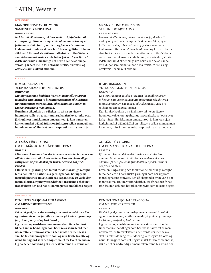### LATIN, Western

#### icelandic

#### **MANNRÉTTINDAYFIRLÝSING SAMEINUÐO ÞJÓÐANNA**

#### **inngangsorð**

*Það ber að viðurkenna, að hver maður sé jafnborinn til virðingar og réttinda, er eigi verði af honum tekin, og er þetta undirstaða frelsis, réttlætis og friðar i heiminum.* **Hafi mannréttindi verið fyrir borð borin og lítilsvirt, hefur slíkt haft í för með sér siðlausar athafnir, er ofboðið hafa samvizku mannkynsins, enda hefur því verið yfir lýst, að æðsta markmið almennings um heim allan sé að skapa veröld, þar sem menn fái notið málfrelsis, trúfrelsis og óttaleysis um einkalíf afkomu.**

#### finnish

#### **IHMISOIKEUKSIEN**

**YLEISMAAILMALLINEN JULISTUS JOHDANTO**

*Kun ihmiskunnan kaikkien jäsenten luonnollisen arvon ja heidän yhtäläisten ja luovuttamattomien oikeuksiensa tunnustaminen on vapauden, oikeudenmukaisuuden ja rauhan perustana maailmassa,*

**Kun ihmisoikeuksia on väheksytty tai ne on jätetty huomiota vaille, on tapahtunut raakalaistekoja, jotka ovat järkyttäneet ihmiskunnan omaatuntoa, ja kun kansojen korkeimmaksi päämääräksi on julistettu sellaisen maailman luominen, missä ihmiset voivat vapaasti nauttia sanan ja** 

#### **SWEDISH**

#### **ALLMÄN FÖRKLARING OM DE MÄNSKLIGA RÄTTIGHETERNA**

**Ingress**

*Eftersom erkännandet av det inneboende värdet hos alla som tillhör människosläktet och av deras lika och obestridliga rättigheter är grundvalen för frihet, rättvisa och fred i världen,*

**Eftersom ringaktning och förakt för de mänskliga rättigheterna har lett till barbariska gärningar som har upprört mänsklighetens samvete, och då skapandet av en värld där människorna åtnjuter yttrandefrihet, trosfrihet och frihet från fruktan och nöd har tillkännagivits som folkens högsta** 

#### norwegian

#### **DEN INTERNASJONALE FRÅSEGNA OM MENNESKERETTANE innleiing**

*Då det å godkjenne det naturlege menneskeverdet med like og umissande rettar for alle menneske på jorda er grunnlaget for fridom, rettferd og fred i verda,*

**Og då hån og vørdsløyse mot menneskerettane har ført til barbariske handlingar som har skaka samvitet til menneskeretta, er framvoksteren i den verda der menneska skal ha talefridom og trusfridom og vere løyste frå otte og naud, kunngjord som det høgste målet for kvart menneske, Og då det er nødvendig at menneskerettane blir verna om**

#### MANNRÉTTINDAYFIRLÝSING SAMEINUÐO ÞIÓÐANNA

#### inngangsorð

*Það ber að viðurkenna, að hver maður sé jafnborinn til virðingar og réttinda, er eigi verði af honum tekin, og er þetta undirstaða frelsis, réttlætis og friðar i heiminum.* Hafi mannréttindi verið fyrir borð borin og lítilsvirt, hefur slíkt haft í för með sér siðlausar athafnir, er ofboðið hafa samvizku mannkynsins, enda hefur því verið yfir lýst, að æðsta markmið almennings um heim allan sé að skapa veröld, þar sem menn fái notið málfrelsis, trúfrelsis og óttaleysis um einkalíf afkomu.

#### IHMISOIKEUKSIEN YLEISMAAILMALLINEN JULISTUS **JOHDANTO**

*Kun ihmiskunnan kaikkien jäsenten luonnollisen arvon ja heidän yhtäläisten ja luovuttamattomien oikeuksiensa tunnustaminen on vapauden, oikeudenmukaisuuden ja rauhan perustana maailmassa,*

Kun ihmisoikeuksia on väheksytty tai ne on jätetty huomiota vaille, on tapahtunut raakalaistekoja, jotka ovat järkyttäneet ihmiskunnan omaatuntoa, ja kun kansojen korkeimmaksi päämääräksi on julistettu sellaisen maailman luominen, missä ihmiset voivat vapaasti nauttia sanan ja

#### ALLMÄN FÖRKLARING OM DE MÄNSKLIGA RÄTTIGHETERNA **INGRESS**

*Eftersom erkännandet av det inneboende värdet hos alla som tillhör människosläktet och av deras lika och obestridliga rättigheter är grundvalen för frihet, rättvisa och fred i världen,*

Eftersom ringaktning och förakt för de mänskliga rättigheterna har lett till barbariska gärningar som har upprört mänsklighetens samvete, och då skapandet aven värld där människorna åtnjuter yttrandefrihet, trosfrihet och frihet från fruktan och nöd har tillkännagivits som folkens högsta

#### DEN INTERNASJONALE FRÅSEGNA OM MENNESKERETTANE **INNLEIING**

*Då det å godkjenne det naturlege menneskeverdet med like og umissande rettar for alle menneske på jorda er grunnlaget for fridom, rettferd og fred i verda,*

Og då hån og vørdsløyse mot menneskerettane har ført til barbariske handlingar som har skaka samvitet til menneskeretta, er framvoksteren i den verda der menneska skal ha talefridom og trusfridom og vere løyste frå otte og naud, kunngjord som det høgste målet for kvart menneske, og då det er nødvendig at menneskerettane blir verna om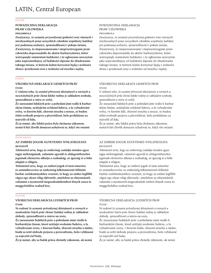#### polish

#### **POWSZECHNA DEKLARACJA PRAW CZŁOWIEKA**

#### **PREAMBUŁA**

*Zważywszy, że uznanie przyrodzonej godności oraz równych i niezbywalnych praw wszystkich członków wspólnoty ludzkiej jest podstawą wolności, sprawiedliwości i pokoju świata,* **Zważywszy, że nieposzanowanie i nieprzestrzeganie praw człowieka doprowadziło do aktów barbarzyństwa, które wstrząsnęły sumieniem ludzkości, i że ogłoszono uroczyście jako najwznioślejszy cel ludzkości dążenie do zbudowania takiego świata, w którym ludzie korzystać będą z wolności słowa i przekonań oraz z wolności od strachu i nędzy,**

#### **CZECH**

#### **VŠEOBECNÁ DEKLARACE LIDSKÝCH PRÁV Úvod**

*U vědomí toho, že uznání přirozené důstojnosti a rovných a nezcizitelných práv členů lidské rodiny je základem svobody, spravedlnosti a míru ve světě,*

**Že zneuznání lidských práv a pohrdání jimi vedlo k barbarským činům, urážejícím svědomí lidstva, a že vybudování světa, ve kterém lidé, zbavení strachu a nouze, se budou těšiti svobodě projevu a přesvĕdčení, bylo prohlášeno za nejvyšší cíl lidu,**

**Že je nutné, aby lidská práva byla chránena zákonem, nemá-li být človĕk donucen uchylovat se, když vše ostatní**

#### hungarian

#### **AZ EMBERI JOGOK EGYETEMES NYILATKOZATA Bevezető**

*Tekintettel arra, hogy az emberiség családja minden egyes tagja méltóságának, valamint egyenlő és elidegeníthetetlen jogainak elismerése alkotja a szabadság, az igazság és a béke alapját a világon,*

**Tekintettel arra, hogy az emberi jogok el nem ismerése és semmibevevése az emberiség lelkiismeretét fellázító barbár cselekményekhez vezetett, és hogy az ember legfőbb vágya egy olyan világ eljövetele, amelyben az elnyomástól, valamint a nyomortól megszabadultemberi lények szava és meggyőződése szabad lesz,**

#### slovak

#### **VŠOBECNÁ DEKLARÁCIA LUDSKÝCH PRÁV Úvod**

*Vo vedomí že uznanie prirodzenej dôstojnosti a rovnych a neodcudzite ľných práv členov ľudskej rodiny je základom slobody, spravodlivosti a mieru na svete,*

**Že zneuznanie ľudských práv a pohrdanie nimi viedlo k barbarským činom, ktoré urážajú svedomie ľudstva, a že vybudovanie sveta, v ktorom ľudia, zbavení strachu a núdze, budú sa tešiť slobode prejavu a presvedčenia, bolo vyhlásené za najvyšší cieľ ľudu,**

**Že je nutné, aby sa ľudsk práva chránily zákonom, ak nemá**

#### POWSZECHNA DEKLARACJA PRAW CZŁOWIEKA

#### PREAMBUŁA

*Zważywszy, że uznanie przyrodzonej godności oraz równychi niezbywalnych praw wszystkich członków wspólnoty ludzkiej jest podstawą wolności, sprawiedliwości i pokoju świata,* Zważywszy, że nieposzanowanie i nieprzestrzeganie praw człowieka doprowadziło do aktów barbarzyństwa, które wstrząsnęły sumieniem ludzkości, i że ogłoszono uroczyście jako najwznioślejszy cel ludzkości dążenie do zbudowania takiego świata, w którym ludzie korzystać będą z wolności słowa i przekonań oraz z wolności od strachu i nędzy,

#### VŠEOBECNÁ DEKLARACE LIDSKÝCH PRÁV Úvod

*U vědomí toho, že uznání přirozené důstojnosti a rovných a nezcizitelných práv členů lidské rodiny je základem svobody, spravedlnosti a míru ve světě,*

Že zneuznání lidských práv a pohrdání jimi vedlo k barbarským činům, urážejícím svědomí lidstva, a že vybudování světa, ve kterém lidé, zbavení strachu a nouze, se budou těšiti svobodě projevu a přesvĕdčení, bylo prohlášeno za nejvyšší cíl lidu,

Že je nutné, aby lidská práva byla chránena zákonem, nemá-li být človĕk donucen uchylovat se, když vše ostatní

#### AZ EMBERI JOGOK EGYETEMES NYILATKOZATA Bevezető

*Tekintettel arra, hogy az emberiség családja minden egyes tagja méltóságának, valamint egyenlő és elidegeníthetetlen jogainak elismerése alkotja a szabadság, az igazság és a béke alapját a világon,*

Tekintettel arra, hogy az emberi jogok el nem ismerése és semmibevevése az emberiség lelkiismeretét fellázító barbár cselekményekhez vezetett, és hogy az ember legfőbb vágya egy olyan világ eljövetele, amelyben az elnyomástól, valamint a nyomortól megszabadult emberi lények szava és meggyőződése szabad lesz,

#### VŠOBECNÁ DEKLARÁCIA LUDSKÝCH PRÁV Úvod

*Vo vedomí že uznanie prirodzenej dôstojnosti a rovnych a neodcudzite ľných práv členov ľudskej rodiny je základom slobody, spravodlivosti a mieru na svete,*

Že zneuznanie ľudských práv a pohrdanie nimi viedlo k barbarským činom, ktoré urážajú svedomie ľudstva, a že vybudovanie sveta, v ktorom ľudia, zbavení strachu a núdze, budú sa tešiť slobode prejavu a presvedčenia, bolo vyhlásené za najvyšší cieľ ľudu,

Že je nutné, aby sa ľudsk práva chránily zákonom, ak nemá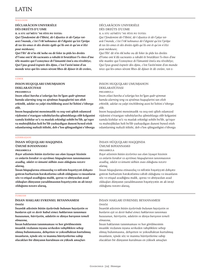### **LATIN**

#### WATTOON

#### **DÉCLARÅCION UNIVERSÈLE DÈS DREÛTS D'L'OME**

**il a stu ad'mètu 'ne fèye po totes:**

*Qui l'fondemint dè-l'lîbèté, dè-l djustice èt dè-l'påye totavå l'monde, c'èst l'rik'nohnance dè-l'dignité qu'èst l'prôpe di tos lès-omes èt dès dreûts égâls qu'ils ont èt qu'on n'èlzi pout mèskeure;*

**Qui l'fêt' dè n'in rik'nohe ou dè foler ås pîds les dreûts d'l'ome ont k'dû sacwants a rabahî èt brutålizer l's-ôtes d'ine tèle manîre qui l'consyince di l'ûmanité ènn'a stu révoltêye; Qui l'pus grand èspwér dès djins, c'èst l'avén'mint d'on monde wice qui lès-omes sèront lîbes dè djåser èt dè creûre,** 

#### **UZBEK**

#### **INSON HUQUQLARI UMUMJAHON DEKLARATCIYASI**

**Preambula**

*Inson oilasi barcha a'zolariga hos bo'lgan qadr-qimmat hamda ularning teng va ajralmas huquqlarini tan olish erkinlik, adolat va yalpi tinchlikning asosi bo'lishini e'tiborga olib,*

**Inson huquqlarini mensimaslik va oeq-osti qilish odamzod vijdonini o'rtaetgan vahshiylarcha qilmishlarga olib kelganini xamda kishilar so'z va maslak erkinligi sohibi bo'lib, qo'rquv va muhtojlikdan holi bo'lib yashaydigan duneni byned etish odamlarning nufuzli itilishi, deb e'lon qilinganligini e'tiborga** 

#### azerbaijani

**İNSAN HÜQUQLARI HAQQINDA ÜMUMİ BƏYANNAMƏ preambula**

*Bəşər ailəsinin bütün üzvlərinə xas olan ləyaqət hissinin və onlarin bərabər və ayrılmaz hüquqlarının tanınmasının azadlıq, ədalət və ümumi sülhün əsası olduğunu nəzərə alaraq,*

**İnsan hüquqlarına etinasızlıq və nifrətin bəşəriyyəti dəhşətə gətirən barbarizm hərəkətlərinə səbəb olduğunu və insanların söz və etiqad azadlığına malik, qorxu və ahtiyacdan azad olduqları dünyanın yaradılmasının bəşəriyyətin ən ali istəyi olduğunu nəzərə alaraq,**

#### **TURKISH**

**İNSAN HAKLARI EVRENSEL BEYANNAMESI Önsöz**

*İnsanlık ailesinin bütün üyelerinde bulunan haysiyetin ve bunların eşit ve devir kabul etmez haklarının tanınması hususunun, hürriyetin, adaletin ve dünya barışının temeli olmasına,*

**İnsan haklarının tanınmaması ve hor görülmesinin insanlık vicdanını isyana sevkeden vahşiliklere sebep olmuş bulunmasına, dehşetten ve yoksulluktan kurtulmuş insanların, içinde söz ve inanma hürriyetlerine sahip olacakları bir dünyanın kurulması en yüksek amaçları**

#### DÉCLARÅCION UNIVERSÈLE DÈS DREÛTS D'L'OME

il a stu ad'mètu 'ne fèye po totes:

*Qui l'fondemint dè-l'lîbèté, dè-l djustice èt dè-l'påye totavå l'monde, c'èst l'rik'nohnance dè-l'dignité qu'èst l'prôpe di tos lès-omes èt dès dreûts égâls qu'ils ont èt qu'on n'èlzi pout mèskeure;*

Qui l'fêt' dè n'in rik'nohe ou dè foler ås pîds les dreûts d'l'ome ont k'dû sacwants a rabahî èt brutålizer l's-ôtes d'ine tèle manîre qui l'consyince di l'ûmanité ènn'a stu révoltêye; Qui l'pus grand èspwér dès djins, c'èst l'avén'mint d'on monde wice qui lès-omes sèront lîbes dè djåser èt dè creûre, tot-z-

#### INSON HUQUQLARI UMUMJAHON DEKLARATCIYASI *Preambula*

*Inson oilasi barcha a'zolariga hos bo'lgan qadr-qimmat hamda ularning teng va ajralmas huquqlarini tan olish erkinlik, adolat va yalpi tinchlikning asosi bo'lishini e'tiborga olib,*

Inson huquqlarini mensimaslik va oeq-osti qilish odamzod vijdonini o'rtaetgan vahshiylarcha qilmishlarga olib kelganini xamda kishilar so'z va maslak erkinligi sohibi bo'lib, qo'rquv va muhtojlikdan holi bo'lib yashaydigan duneni byned etish odamlarning nufuzli itilishi, deb e'lon qilinganligini e'tiborga

#### İNSAN HÜQUQLARI HAQQINDA ÜMUMİ BƏYANNAMƏ

preambula

*Bəşər ailəsinin bütün üzvlərinə xas olan ləyaqət hissinin və onlarin bərabər və ayrılmaz hüquqlarının tanınmasının azadlıq, ədalət və ümumi sülhün əsası olduğunu nəzərə alaraq,*

İnsan hüquqlarına etinasızlıq və nifrətin bəşəriyyəti dəhşətə gətirən barbarizm hərəkətlərinə səbəb olduğunu və insanların söz və etiqad azadlığına malik, qorxu və ahtiyacdan azad olduqları dünyanın yaradılmasının bəşəriyyətin ən ali istəyi olduğunu nəzərə alaraq,

#### İNSAN HAKLARI EVRENSEL BEYANNAMESI Önsöz

*İnsanlık ailesinin bütün üyelerinde bulunan haysiyetin ve bunların eşit ve devir kabul etmez haklarının tanınması hususunun, hürriyetin, adaletin ve dünya barışının temeli olmasına,*

İnsan haklarının tanınmaması ve hor görülmesinin insanlık vicdanını isyana sevkeden vahşiliklere sebep olmuş bulunmasına, dehşetten ve yoksulluktan kurtulmuş insanların, içinde söz ve inanma hürriyetlerine sahip olacakları bir dünyanın kurulması en yüksek amaçları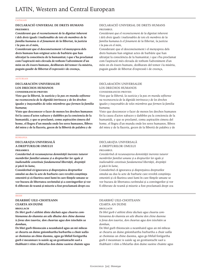#### catalan

#### **DECLARACIÓ UNIVERSAL DE DRETS HUMANS PREÀMBUL**

*Considerant que el reconeixement de la dignitat inherent i dels drets iguals i inalienables de tots els membres de la família humana és el fonament de la llibertat, la justícia i la pau en el món,*

**Considerant que el desconeixement i el menyspreu dels drets humans han originat actes de barbàrie que han ultratjat la consciència de la humanitat; i que s'ha proclamat com l'aspiració més elevada de tothom l'adveniment d'un món on els éssers humans, deslliurats del temor i la misèria, puguin gaudir de llibertat d'expressió i de creença,**

#### asturian

#### **DECLARACIÓN UNIVERSALDE LOS DRECHOS HUMANOS**

**considerances previes**

*Visto que la llibertá, la xusticia y la paz en mundu sofítense na reconocencia de la dignidá intrínseca y de los drechos iguales y inayenables de tolos miembros que formen la familia humana;*

**Visto que desconocer o facer de menos los drechos humanos foi la causa d'actos xabaces y dañibles pa la conciencia de la humanidá, y que se proclamó, comu aspiración cimera del home, el llogru d'un mundu onde los seres humanos, llibres del mieu y de la llaceria, gocen de la llibertá de palabra y de** 

#### romania

#### **DECLARAŢIA UNIVERSALĂ A DREPTURILOR OMULUI Preambul**

*Considerînd că recunoașterea demnităţii inerente tuturor membrilor familiei umane și a drepturilor lor egale și inalienabile constituie fundamentul libertăţii, dreptăţii și păcii în lume,*

**Considerînd că ignorarea și dispreţuirea drepturilor omului au dus la acte de barbarie care revoltă conștiinţa omenirii și că făurirea unei lumi în care fiinţele umane se vor bucura de libertatea cuvîntului și a convingerilor și vor fi eliberate de teamă și mizerie a fost proclamată drept cea** 

#### irish

#### **DEARBHÚ UILE-CHOITEANN CEARTA AN DUINE**

**brollach**

*De bhrí gurb é aithint dínte dúchais agus chearta comhionanna do-shannta an uile dhuine den chine daonna is foras don tsaorise, don cheartas agus don tsíocháin sa domhan,*

**De bhrí gurb thionscain a neamhaird agus an mí-mheas ar chearta an duine gníomhartha barbartha a chuir uafás ar choinsias an chine daonna, agus go bhfuil forógartha gurb é meanmarc is uaisle ag an gcoitiantacht saol a thabhairt i réim a bhéarfas don duine saoirse chainte agus** 

#### DECLARACIÓ UNIVERSAL DE DRETS HUMANS **PREÀMBUL**

*Considerant que el reconeixement de la dignitat inherent i dels drets iguals i inalienables de tots els membres de la família humana és el fonament de la llibertat, la justícia i la pau en el món,*

Considerant que el desconeixement i el menyspreu dels drets humans han originat actes de barbàrie que han ultratjat la consciència de la humanitat; i que s'ha proclamat com l'aspiració més elevada de tothom l'adveniment d'un món on els éssers humans, deslliurats del temor i la misèria, puguin gaudir de llibertat d'expressió i de creença,

#### DECLARACIÓN UNIVERSALDE LOS DRECHOS HUMANOS considerances previes

*Visto que la llibertá, la xusticia y la paz en mundu sofítense na reconocencia de la dignidá intrínseca y de los drechos iguales y inayenables de tolos miembros que formen la familia humana;*

Visto que desconocer o facer de menos los drechos humanos foi la causa d'actos xabaces y dañibles pa la conciencia de la humanidá, y que se proclamó, comu aspiración cimera del home, el llogru d'un mundu onde los seres humanos, llibres del mieu y de la llaceria, gocen de la llibertá de palabra y de

#### DECLARAŢIA UNIVERSALĂ A DREPTURILOR OMULUI Preambul

*Considerînd că recunoașterea demnităţii inerente tuturor membrilor familiei umane și a drepturilor lor egale și inalienabile constituie fundamentul libertăţii, dreptăţii și păcii în lume,*

Considerînd că ignorarea și dispreţuirea drepturilor omului au dus la acte de barbarie care revoltă conștiinţa omenirii și că făurirea unei lumi în care fiinţele umane se vor bucura de libertatea cuvîntului și a convingerilor și vor fi eliberate de teamă și mizerie a fost proclamată drept cea

#### DEARBHÚ UILE-CHOITEANN CEARTA AN DUINE **BROLLACH**

*De bhrí gurb é aithint dínte dúchais agus chearta comhionanna do-shannta an uile dhuine den chine daonna is foras don tsaorise, don cheartas agus don tsíocháin sa domhan,*

De bhrí gurb thionscain a neamhaird agus an mí-mheas ar chearta an duine gníomhartha barbartha a chuir uafás ar choinsias an chine daonna, agus go bhfuil forógartha gurb é meanmarc is uaisle ag an gcoitiantacht saol a thabhairt i réim a bhéarfas don duine saoirse chainte agus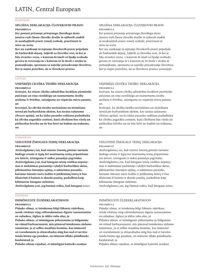#### **SLOVENIAN**

#### **SPLOŠNA DEKLARACIJA ČLOVEKOVIH PRAVIC preambula**

*Ker pomeni priznanje prirojenega človeškega dostojanstva vseh članov človeške družbe in njihovih enakih in neodtujljivih pravic temelj svobode, pravičnosti in miru na svetu;*

**Ker sta zanikanje in teptanje človekovih pravic pripeljala do barbarskih dejanj, žaljivih za človeško vest, in ker je bila stvaritev sveta, v katerem bi imeli vsi ljudje svobodo govora in verovanja in v katerem ne bi živeli v strahu in pomanjkanju, spoznana za najvišje prizadevanje človeštva; Ker je nujno potrebno, da se človekove pravice** 

#### **LATVIAN**

#### **VISPĀRĒJĀ CILVĒKA TIESĪBU DEKLARĀCIJA preambula**

*Ievērojot, ka visiem cilvēku sabiedrības locekļiem piemītošās pašcieņas un viņu vienlīdzīgu un neatņemamu tiesību atzīšana ir brīvības, taisnīguma un vispārēja miera pamats, un*

**Ievērojot, ka cilvēku tiesību necienīšana un nicināšana noved pie barbariskiem aktiem, kas izraisa sašutumu cilvēces apziņā, un ka tādas pasaules radīšana pasludināta kā cilvēku augstākie centieni, kurā cilvēkiem būs vārda un pārliecības brīvība un tie būs brīvi no bailēm un trūkuma, un** 

#### lithuanian

#### **VISUOTINĖ ŽMOGAUS TEISIŲ DEKLARACIJA PREAMBULĖ**

*Atsižvelgdama į tai, kad visiems žmonių giminės nariams būdingo orumo ir lygių bei neatimamų teisių pripainimas yra laisvės, teisingumo ir taikos pasaulyje pagrindas;* **Atsižvelgdama į tai, kad žmogaus teisių visiškas nepaisymas ir niekinimas pastūméjo vykdyti barbariškus aktus, piktinančius žmonijos sąžinę, o sukūrimas pasaulio, kuriame žmonės turės žodžio ir įsitikinimų laisvę ir bus išlaisvinti iš baimės ir skurdo pančių, paskelbtas kaip kilniausias žmogaus siekimas;**

**Atsižvelgdama į tai, jog būtinai reikia, kad žmogaus** teises

#### estonian

#### **INIMÕIGUSTE ÜLDDEKLARATSIOON Preambula**

*Pidades silmas, et inimkonna kõigi liikmete väärikuse, nende võrdsuse ning võõrandamatute õiguste tunnustamine on vabaduse, õigluse ja üldise rahu alus; ja* **Pidades silmas, et inimõiguste põlastamine ja hülgamine on viinud barbaarsusteni, mis piinavad inimkonna südametunnistust, ja et sellise maailma loomine, kus inimestel on veendumuste ja sõnavabadus ning kus nad ei tarvitse tunda hirmu ega puudust, on inimeste üllaks püüdluseks kuulutatud; ja**

**Pidades silmas vajadust, et inimõigusi kaitseks seaduse** 

#### SPLOŠNA DEKLARACIJA ČLOVEKOVIH PRAVIC preambula

*Ker pomeni priznanje prirojenega človeškega dostojanstva vseh članov človeške družbe in njihovih enakih in neodtujljivih pravic temelj svobode, pravičnosti in miru na svetu;*

Ker sta zanikanje in teptanje človekovih pravic pripeljala do barbarskih dejanj, žaljivih za človeško vest, in ker je bila stvaritev sveta, v katerem bi imeli vsi ljudje svobodo govora in verovanja in v katerem ne bi živeli v strahu in pomanjkanju, spoznana za najvišje prizadevanje človeštva; Ker je nujno potrebno, da se človekove pravice zavarujejo

#### VISPĀRĒJĀ CILVĒKA TIESĪBU DEKLARĀCIJA preambula

*Ievērojot, ka visiem cilvēku sabiedrības locekļiem piemītošās pašcieņas un viņu vienlīdzīgu un neatņemamu tiesību atzīšana ir brīvības, taisnīguma un vispārēja miera pamats, un*

Ievērojot, ka cilvēku tiesību necienīšana un nicināšana noved pie barbariskiem aktiem, kas izraisa sašutumu cilvēces apziņā, un ka tādas pasaules radīšana pasludināta kā cilvēku augstākie centieni, kurā cilvēkiem būs vārda un pārliecības brīvība un tie būs brīvi no bailēm un trūkuma, un

#### VISUOTINĖ ŽMOGAUS TEISIŲ DEKLARACIJA PREAMBULĖ

*Atsižvelgdama į tai, kad visiems žmonių giminės nariams būdingo orumo ir lygių bei neatimamų teisių pripainimas yra laisvės, teisingumo ir taikos pasaulyje pagrindas;* Atsižvelgdama į tai, kad žmogaus teisių visiškas nepaisymas ir niekinimas pastūméjo vykdyti barbariškus aktus, piktinančius žmonijos sąžinę, o sukūrimas pasaulio, kuriame žmonės turės žodžio ir įsitikinimų laisvę ir bus išlaisvinti iš baimės ir skurdo pančių, paskelbtas kaip kilniausias žmogaus siekimas; Atsižvelgdama į tai, jog būtinai reikia, kad žmogaus teises

#### INIMÕIGUSTE ÜLDDEKLARATSIOON PREAMBULA

*Pidades silmas, et inimkonna kõigi liikmete väärikuse, nende võrdsuse ning võõrandamatute õiguste tunnustamine on vabaduse, õigluse ja üldise rahu alus; ja* Pidades silmas, et inimõiguste põlastamine ja hülgamine on viinud barbaarsusteni, mis piinavad inimkonna südametunnistust, ja et sellise maailma loomine, kus inimestel on veendumuste ja sõnavabadus ning kus nad ei tarvitse tunda hirmu ega puudust, on inimeste üllaks püüdluseks kuulutatud; ja

Pidades silmas vajadust, et inimõigusi kaitseks seaduse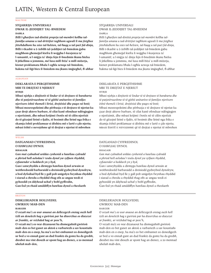#### **MALTESE**

#### **STQARRIJA UNIVERSALI DWAR IL-JEDDIJIET TAL-BNIEDEM DAĦLA**

*Billi l-għarfien tad-diniità proprja tal-membri kollha talfamilja umana u tad-drittijiet tagħhom ugwali li ma jistgħux jitteħdulhom hu ssies tal-ħelsien, tal-ħaqq u tal-paċi fid-dinja,* **Billi t-tkasbir u ż-żebliħ tal-jeddijiet tal-bniedem ġabu magħhom għemejjel kiefra li weġghu l-kuxjenza ta' l-umanitŕ, u l-miġja ta' dinja fejn il-bnedmin ikunu ħielsa li jitkellmu u jemmnu, me ̇lusa mill-biża' u mill-miżerja, kienet proklamata bħala l-ogħla xewqa tal-bniedem, ħakma tal-liġi biex il-bniedem ma jkunx imġiegħel, fl-aħħar** 

#### albanian

#### **DEKLARATA E PERGJITHSHME MBI TE DREJTAT E NJERIUT HYRJE**

*Mbasi njohja e dinjitetit të lindur të të drejtave të barabarta dhe të patjetërsueshme të të gjithë anëtarëve të familjes njerëzore është themeli i lirisë, drejtësisë dhe paqes në botë;* **Mbasi mosrespektimi dhe përbuzja e të drejtave të njeriut ka çuar drejt akteve barbare, të cilat kanë ofenduar ndërgjegjen e njerëzimit, dhe mbasi krijimi i botës në të cilën njerëzit do të gëzojnë lirinë e fjalës, të besimit dhe lirinë nga frika e skamja është proklamuar si dëshira më e lartë e çdo njeriu; mbasi është e nevojshme që të drejtat e njeriut të mbrohen** 

#### **WELSH**

#### **DATGANIAD CYFFREDINOL O HAWLIAU DYNOL rhagair**

*Gan mai cydnabod urddas cynhenid a hawliau cydradd a phriod holl aelodau'r teulu dynol yw sylfaen rhyddid, cyfiawnder a heddwch yn y byd,*

**Gan i anwybyddu a dirmygu hawliau dynol arwain at weithredoedd barbaraidd a dreisiodd gydwybod dynolryw, a bod dyfodiad byd lle y gall pob unigolyn fwynhau rhyddid i siarad a chredu a rhyddid rhag ofn ac angau wedi ei gyhoeddi yn ddyhead uchaf y bobl gyffredin, Gan fod yn rhaid amddiffyn hawliau dynol a rheolaeth** 

#### **BRETON**

#### **DISKLERIADUR HOLLVEDEL GWIRIOU MAB-DEN**

#### **rakger**

*O vezañ ma'z eo war anaout an dellezegezh enstag ouzh holl izili an denelezh hag o gwirioù par ha diwerzhus eo diazezet ar frankiz, ar reizhded hag ar peoc'h,*

**O vezañ ma'z eo war dizanaout ha dismegañsiñ gwirioù mab-den eo bet ganet an aktoù a varbariezh a sav koustiañs mab-den en o enep, ha ma'z eo bet embannet eo donedigezh ur bed a vo ennañ gant an dud frankiz da gomz ha da grediñ, dieubet ma vint diouzh ar spont hag an dienez, a zo mennad uhelañ mab-den,**

#### STQARRIJA UNIVERSALI DWAR IL-JEDDIJIET TAL-BNIEDEM

#### DAĦLA

*Billi l-għarfien tad-diniità proprja tal-membri kollha talfamilja umana u tad-drittijiet tagħhom ugwali li ma jistgħux jitteħdulhom hu ssies tal-ħelsien, tal-ħaqq u tal-paċi fid-dinja,* Billi t-tkasbir u ż-żebliħ tal-jeddijiet tal-bniedem ġabu magħhom għemejjel kiefra li weġghu l-kuxjenza ta' l-umanitŕ, u l-miġja ta' dinja fejn il-bnedmin ikunu ħielsa li jitkellmu u jemmnu, me ̇lusa mill-biża' u mill-miżerja, kienet proklamata bħala l-ogħla xewqa tal-bniedem, ħakma tal-liġi biex il-bniedem ma jkunx imġiegħel, fl-aħħar

#### DEKLARATA E PERGJITHSHME MBI TE DREJTAT E NJERIUT **HYRIE**

*Mbasi njohja e dinjitetit të lindur të të drejtave të barabarta dhe të patjetërsueshme të të gjithë anëtarëve të familjes njerëzore është themeli i lirisë, drejtësisë dhe paqes në botë;* Mbasi mosrespektimi dhe përbuzja e të drejtave të njeriut ka çuar drejt akteve barbare, të cilat kanë ofenduar ndërgjegjen e njerëzimit, dhe mbasi krijimi i botës në të cilën njerëzit do të gëzojnë lirinë e fjalës, të besimit dhe lirinë nga frika e skamja është proklamuar si dëshira më e lartë e çdo njeriu; mbasi është e nevojshme që të drejtat e njeriut të mbrohen

#### DATGANIAD CYFFREDINOL O HAWLIAU DYNOL

**RHAGAIR** 

*Gan mai cydnabod urddas cynhenid a hawliau cydradd a phriod holl aelodau'r teulu dynol yw sylfaen rhyddid, cyfiawnder a heddwch yn y byd,*

Gan i anwybyddu a dirmygu hawliau dynol arwain at weithredoedd barbaraidd a dreisiodd gydwybod dynolryw, a bod dyfodiad byd lle y gall pob unigolyn fwynhau rhyddid i siarad a chredu a rhyddid rhag ofn ac angau wedi ei gyhoeddi yn ddyhead uchaf y bobl gyffredin, Gan fod yn rhaid amddiffyn hawliau dynol a rheolaeth

#### DISKLERIADUR HOLLVEDEL GWIRIOU MAB-DEN rakger

*O vezañ ma'z eo war anaout an dellezegezh enstag ouzh holl izili an denelezh hag o gwirioù par ha diwerzhus eo diazezet ar frankiz, ar reizhded hag ar peoc'h,*

O vezañ ma'z eo war dizanaout ha dismegañsiñ gwirioù mab-den eo bet ganet an aktoù a varbariezh a sav koustiañs mab-den en o enep, ha ma'z eo bet embannet eo donedigezh ur bed a vo ennañ gant an dud frankiz da gomz ha da grediñ, dieubet ma vint diouzh ar spont hag an dienez, a zo mennad uhelañ mab-den,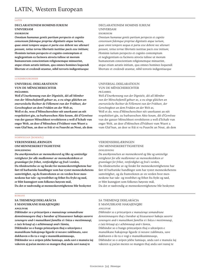#### **LATIN**

#### **DECLARATIONEM HOMINIS IURIUM UNIVERSAM**

#### **EXORDIUM**

*Omnium humanae gentis partium perspecto et cognito consensum fidemque propriae dignitatis atque iurium, quae omni tempore aequa et paria esse debent nec alienari possunt, totius terrae libertatis iustitiae pacis esse initium;* **Hominis iurium perspecto et cognito contemptum et neglegentiam ea facinora atrocia tulisse ut morum humanorum conscientiam religionemque minuerint, atque etiam aetatis initium, qua omnes homines loquendi libertate et credendi utantur, nihil terroris indigentiaeque** 

#### luxembourghish

#### **UNIVERSAL-DEKLARATIOUN VUN DE MËNSCHERECHTER PRÄAMBEL**

*Well d'Unerkennong vun der Dignitéit, déi all Mêmber vun der Mënschefamill gebuer as, a vu sénge gläichen an onersetzleche Rechter de Fëllement vun der Fräiheet, der Gerechtegkeet an dem Fridden an der Welt as,* **Well et do, wou d'Mënscherechter nët unerkannt an nët respektéiert gin, zu barbareschen Akte koum, déi d'Gewësse vun der ganzer Mënschheet revoltéieren a well d'Schafe vun enger Welt, an deer d'Mënschen d'Fräiheet vum Wuert a vum Glaf hun, an deer se fräi si vu Fuurcht an Nout, als dem** 

#### norwegian (bokmål)

#### **VERDENSERKLÆRINGEN OM MENNESKERETTIGHETENE INNLEDNING**

*Da anerkjennelsen av menneskeverd og like og umistelige rettigheter for alle medlemmer av menneskeslekten er grunnlaget for frihet, rettferdighet og fred i verden,* **Da tilsidesettelse av og forakt for menneskerettighetene har ført til barbariske handlinger som har rystet menneskehetens samvittighet, og da framveksten av en verden hvor menneskene har tale- og trosfrihet og frihet fra frykt og nød, er blitt kunngjort som folkenes høyeste mål, Da det er nødvendig at menneskerettighetene blir beskyttet** 

#### romani

#### **SA THEMENQI DEKLARÀCIA E MANUSIKANE HAKAJENQIRI**

**anglivak**

*Dikhindor so o prinzaripen e manuśenqe somandrune demnimnasqoro thaj e barabar aj bixasaraver hakaja savorre zenenqere and-i manuśikani famělia si i bàza e mestimnasqi, e ćaće krisaqi aj e aćhõmnasqi and-i lùmia,*

**Dikhindor so o bango prinzaripen thaj o uśtavipen e manuśikane hakajenqo ligarde zi nesave zuklimata, save dukhaven o ilo ta o vogi e manuśikanimnasqo,**

**Dikhindor so o avipen jekhe lumiaqo, anda savi e manuśa śaj vakeren aj paćan mestes so mangen thaj anda savi nanaj te** 

#### DECLARATIONEM HOMINIS IURIUM UNIVERSAM

#### EXORDIUM

*Omnium humanae gentis partium perspecto et cognito consensum fidemque propriae dignitatis atque iurium, quae omni tempore aequa et paria esse debent nec alienari possunt, totius terrae libertatis iustitiae pacis esse initium;* Hominis iurium perspecto et cognito contemptum et neglegentiam ea facinora atrocia tulisse ut morum humanorum conscientiam religionemque minuerint, atque etiam aetatis initium, qua omnes homines loquendi libertate et credendi utantur, nihil terroris indigentiaeque

#### UNIVERSAL-DEKLARATIOUN VUN DE MËNSCHERECHTER *PRÄAMBEL*

*Well d'Unerkennong vun der Dignitéit, déi all Mêmber vun der Mënschefamill gebuer as, a vu sénge gläichen an onersetzleche Rechter de Fëllement vun der Fräiheet, der Gerechtegkeet an dem Fridden an der Welt as,* Well et do, wou d'Mënscherechter nët unerkannt an nët respektéiert gin, zu barbareschen Akte koum, déi d'Gewësse

vun der ganzer Mënschheet revoltéieren a well d'Schafe vun enger Welt, an deer d'Mënschen d'Fräiheet vum Wuert a vum Glaf hun, an deer se fräi si vu Fuurcht an Nout, als dem

#### VERDENSERKLÆRINGEN OM MENNESKERETTIGHETENE

*INNLEDNING Da anerkjennelsen av menneskeverd og like og umistelige rettigheter for alle medlemmer av menneskeslekten er grunnlaget for frihet, rettferdighet og fred i verden,* Da tilsidesettelse av og forakt for menneskerettighetene har ført til barbariske handlinger som har rystet menneskehetens samvittighet, og da framveksten av en verden hvor menneskene har tale- og trosfrihet og frihet fra frykt og nød, er blitt kunngjort som folkenes høyeste mål, Da det er nødvendig at menneskerettighetene blir beskyttet

#### SA THEMENQI DEKLARÀCIA E MANUSIKANE HAKAJENQIRI *anglivak*

*Dikhindor so o prinzaripen e manuśenqe somandrune demnimnasqoro thaj e barabar aj bixasaraver hakaja savorre zenenqere and-i manuśikani famělia si i bàza e mestimnasqi, e ćaće krisaqi aj e aćhõmnasqi and-i lùmia,* Dikhindor so o bango prinzaripen thaj o uśtavipen e

manuśikane hakajenqo ligarde zi nesave zuklimata, save dukhaven o ilo ta o vogi e manuśikanimnasqo,

Dikhindor so o avipen jekhe lumiaqo, anda savi e manuśa śaj vakeren aj paćan mestes so mangen thaj anda savi nanaj te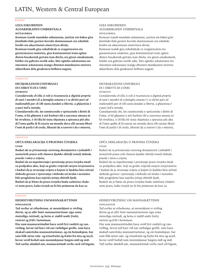#### **BASQUE**

#### **GIZA ESKUBIDEEN ALDARRIKAPEN UNIBERTSALA**

#### **HITZAURREA**

*Kontuan izanik munduko askatasuna, justizia eta bakea giza familiako kide guztien berezko duintasunean eta eskubide berdin eta ukaezinetan oinarritzen direla;*

**Kontuan izanik giza eskubideak ez ezagutzearen eta gutxiestearen ondorioz, giza kontzientziari irain egiten dioten basakeriak gertatu izan direla; eta gizon-emakumeek, beldur eta gabezia orotik aske, hitz egiteko askatasuna eta sinesmen-askatasuna izango dituzten munduaren etorrera aldarrikatu dela gizakiaren helburu nagusi;**

#### corsican

#### **DICHJARAZIONI UNIVIRSALI DI I DIRITTI DI L'OMU introitu**

*Cunsidarendu ch'ellu ci voli à ricunnoscia a dignità propria di tutti i membri di a famiglia umana è i so diritti pari ed inalienabili par ch'elli sianu fundati a libertà, a ghjustizia è a paci ind'u mondu,*

**Cunsidarendu chì, ùn cunniscendu o sprizzendu i diritti di l'omu, si hè ghjuntu à atti barbari chì a cuscenza umana ni hè rivultata, è ch'ella hè stata chjamata a spiranza più alta di l'omu quilla di fà nascia un mondu duva elli saranu libari l'omi di parlà è di creda, libarati da u tarrori è da e miseria,**

#### **CROATIAN**

#### **OPĆA DEKLARACIJA O PRAVIMA ĆOVJEKA UVOD**

*Budući da su priznavanje uroćenog dostojanstva i jednakih i neotućivih prava svih ćlanova ljudske obitelji temelj slobode, pravde i mira u svijetu,*

**Budući da su nepoštovanje i preziranje prava ćovjeka imali za posljedicu akte, koji su grubo vrijećali savjest ćovjećanstva i budući da je stvaranje svijeta u kojem će ljudska bića ućivati slobodu govora i vjerovanja i slobodu od straha i nestašice bilo proglašeno kao najviša tećnja obićnih ljudi, Budući da je bitno da prava ćovjeka budu zaštićena vladavi-nom prava, kako ćovjek ne bi bio primoran da kao za** 

#### faroese

#### **HEIMSYVIRLÝSING UM MANNARÆTTINDI INNGANGUR**

*Tað verður at viðurkenna, at menniskjuni er virðing íborin, og at allir limir mannaættarinnar eiga somu ómissiligu rættindi, og hetta er støðið undir frælsi, rættvísi og friði í heiminum.*

**Har sum mannarættindini hava verið fyri vanbýti og vanvirðing, hevur tað havt við sær ræðuligar gerðir, sum hava skakað samvitsku mannaættarinnar, og ein heimskipan, har sum fólk nýtur talu- og trúarfrælsi og frælsi frá ótta og neyð, hevur verið boðað sum menniskjunar hægsta mið og mál. Tað varðar almikið um, mannarættindi verða vard við lógum,** 

#### GIZA ESKUBIDEEN ALDARRIKAPEN UNIBERTSALA

#### HITZAURREA

*Kontuan izanik munduko askatasuna, justizia eta bakea giza familiako kide guztien berezko duintasunean eta eskubide berdin eta ukaezinetan oinarritzen direla;* Kontuan izanik giza eskubideak ez ezagutzearen eta gutxiestearen ondorioz, giza kontzientziari irain egiten dioten basakeriak gertatu izan direla; eta gizon-emakumeek, beldur eta gabezia orotik aske, hitz egiteko askatasuna eta sinesmen-askatasuna izango dituzten munduaren etorrera aldarrikatu dela gizakiaren helburu nagusi;

#### DICHJARAZIONI UNIVIRSALI DI I DIRITTI DI L'OMU *introitu*

*Cunsidarendu ch'ellu ci voli à ricunnoscia a dignità propria di tutti i membri di a famiglia umana è i so diritti pari ed inalienabili par ch'elli sianu fundati a libertà, a ghjustizia è a paci ind'u mondu,*

Cunsidarendu chì, ùn cunniscendu o sprizzendu i diritti di l'omu, si hè ghjuntu à atti barbari chì a cuscenza umana ni hè rivultata, è ch'ella hè stata chjamata a spiranza più alta di l'omu quilla di fà nascia un mondu duva elli saranu libari l'omi di parlà è di creda, libarati da u tarrori è da e miseria,

#### OPĆA DEKLARACIJA O PRAVIMA ĆOVJEKA UVOD

*Budući da su priznavanje uroćenog dostojanstva i jednakih i neotućivih prava svih ćlanova ljudske obitelji temelj slobode, pravde i mira u svijetu,*

Budući da su nepoštovanje i preziranje prava ćovjeka imali za posljedicu akte, koji su grubo vrijećali savjest ćovjećanstva i budući da je stvaranje svijeta u kojem će ljudska bića ućivati slobodu govora i vjerovanja i slobodu od straha i nestašice bilo proglašeno kao najviša tećnja obićnih ljudi, Budući da je bitno da prava ćovjeka budu zaštićena vladavinom prava, kako ćovjek ne bi bio primoran da kao za

#### HEIMSYVIRLÝSING UM MANNARÆTTINDI INNGANGUR

*Tað verður at viðurkenna, at menniskjuni er virðing íborin,og at allir limir mannaættarinnar eiga somu ómissiligu rættindi, og hetta er støðið undir frælsi, rættvísi og friði í heiminum.*

Har sum mannarættindini hava verið fyri vanbýti og vanvirðing, hevur tað havt við sær ræðuligar gerðir, sum hava skakað samvitsku mannaættarinnar, og ein heimskipan, har sum fólk nýtur talu- og trúarfrælsi og frælsi frá ótta og neyð, hevur verið boðað sum menniskjunar hægsta mið og mál. Tað varðar almikið um, mannarættindi verða vard við lógum,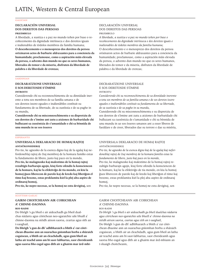#### galician

#### **DECLARACIÓN UNIVERSAL DOS DEREITOS DAS PERSOAS**

#### **preámbulo**

A liberdade, a xustiza e a paz no mundo teñen por base o recoñecemento da dignidade intrínseca e dos dereitos iguais e inalienables de tódolos membros da familia humana; **O descoñecemento e o menosprezo dos dereitos da persoa orixinaron actos de barbarie aldraxantes para a conciencia da humanidade; proclamouse, como a aspiración máis elevada da persoa, o advento dun mundo no que os seres humanos, liberados do temor e da miseria, disfruten da liberdade de palabra e da liberdade de crenzas;**

#### sardinian

#### **DECRARATZIONE UNIVERSALE E SOS DERETOSDE S'ÒMINE introitu**

Cunsiderende chi su reconnoschimentu de sa dinnidade inerente a totu sos membros de sa famìlia umana e de sos deretos issoro eguales e inalienàbiles costìtuit su fundamentu de sa libertade, de sa zustìssia e de sa paghe in su mundu,

**Cunsiderende chi su misconnoschimentu e su dispretziu de sos deretos de s'òmine ant zutu a atziones de barbaridade chi bulluzant sa cussèntzia de s'umanidade e chi sa bènnida de unu mundu in ue sos èsseres**

#### **ESPERANTO**

#### **UNIVERSALA DEKLARACIO DE HOMAJ RAJTOJ antaŭkonsideroj**

Pro tio, ke agnosko de la esenca digno kaj de la egalaj kaj nefordoneblaj rajtoj de ĉiuj membroj de la homara familio estas la fundamento de libero, justo kaj paco en la mondo,

**Pro tio, ke malagnosko kaj malestimo de la homaj rajtoj rezultigis barbarajn agojn, kiuj forte ofendis la konsciencon de la homaro, kaj ke la efektiviĝo de tia mondo, en kiu la homoj ĝuos liberecon de parolo kaj de kredo kaj liberiĝon el timo kaj bezono, estas proklamita kiel la plej alta aspiro de ordinaraj homoj,**

**Pro tio, ke nepre necesas, se la homoj ne estu devigitaj,** sen

#### scottish gaelic

#### **GAIRM CHOITCHEANN AIR COIRICHEAN A' CHINNE-DAONNA**

#### **ROI-RADH**

Do bhrìgh 's gu bheil e air aideachadh gu bheil dualchas nàdarra agus còirichean neo-sgaraichte uile bhuill a' chinne-daonna na stèidh airson saorsa, ceartas agus sìth an t-saoghail,

**Do bhrìgh 's gun do dh' adhbharaich a bhith a' cur còirichean dhaoine ann an suarachas gnìomhan borba a shàraich cogaisean, a bhith air an cleachdadh, agus gum bheil an latha air teachd anns am bi saor-labhartas, saor chreideamh agus saorsa bho eagal agus dìth air a ghairm mar àrd-mhi-**

#### DECLARACIÓN UNIVERSAL DOS DEREITOS DAS PERSOAS

#### preámbulo

*A liberdade, a xustiza e a paz no mundo teñen por base o recoñecemento da dignidade intrínseca e dos dereitos iguais e inalienables de tódolos membros da familia humana;*  O descoñecemento e o menosprezo dos dereitos da persoa orixinaron actos de barbarie aldraxantes para a conciencia da humanidade; proclamouse, como a aspiración máis elevada da persoa, o advento dun mundo no que os seres humanos, liberados do temor e da miseria, disfruten da liberdade de palabra e da liberdade de crenzas;

#### DECRARATZIONE UNIVERSALE E SOS DERETOSDE S'ÒMINE **INTROITU**

*Cunsiderende chi su reconnoschimentu de sa dinnidade inerente a totu sos membros de sa famìlia umana e de sos deretos issoro eguales e inalienàbiles costìtuit su fundamentu de sa libertade, de sa zustìssia e de sa paghe in su mundu,*

Cunsiderende chi su misconnoschimentu e su dispretziu de sos deretos de s'òmine ant zutu a atziones de barbaridade chi bulluzant sa cussèntzia de s'umanidade e chi sa bènnida de unu mundu in ue sos èsseres umanos ant a esser lìberos de faeddare e de creer, liberados dae su terrore e dae sa misèria,

#### UNIVERSALA DEKLARACIO DE HOMAJ RAJTOJ antaŭkonsideroj

*Pro tio, ke agnosko de la esenca digno kaj de la egalaj kaj nefordoneblaj rajtoj de ĉiuj membroj de la homara familio estas la fundamento de libero, justo kaj paco en la mondo,*

Pro tio, ke malagnosko kaj malestimo de la homaj rajtoj rezultigis barbarajn agojn, kiuj forte ofendis la konsciencon de la homaro, kaj ke la efektiviĝo de tia mondo, en kiu la homoj ĝuos liberecon de parolo kaj de kredo kaj liberiĝon el timo kaj bezono, estas proklamita kiel la plej alta aspiro de ordinaraj homoj,

Pro tio, ke nepre necesas, se la homoj ne estu devigitaj, sen

#### GAIRM CHOITCHEANN AIR COIRICHEAN A' CHINNE-DAONNA

ROI-RADH

*Do bhrìgh 's gu bheil e air aideachadh gu bheil dualchas nàdarra agus còirichean neo-sgaraichte uile bhuill a' chinne-daonna na stèidh airson saorsa, ceartas agus sìth an t-saoghail,* Do bhrìgh 's gun do dh' adhbharaich a bhith a' cur còirichean dhaoine ann an suarachas gnìomhan borba a shàraich cogaisean, a bhith air an cleachdadh, agus gum bheil an latha air teachd anns am bi saor-labhartas, saor chreideamh agus saorsa bho eagal agus dìth air a ghairm mar àrd-mhiann an t-sluaigh choitcheann,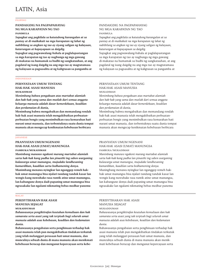#### filipino

#### **PANDAIGDIG NA PAGPAPAHAYAG NG MGA KARAPATAN NG TAO**

#### **PANIMULA**

*Sapagkat ang pagkilala sa katutubong karangalan at sa pantay at di-maikakait na mga karapatan ng lahat ng nabibilang sa angkan ng tao ay siyang saligan ng kalayaan, katarungan at kapayapaan sa daigdig.*

**Sapagkat ang pagwawalang-bahala at paglalapastangan sa mga karapatan ng tao ay nagbunga ng mga gawang di-makatao na humamak sa budhi ng sangkatauhan, at ang pagdatal ng isang daigdig na ang mga tao ay magtatamasa ng kalayaan sa pagsasalita at ng kaligtasan sa pangamba at** 

#### indonesian

#### **PERNYATAAN UMUM TENTANG HAK-HAK ASASI MANUSIA mukadimah**

*Menimbang bahwa pengakuan atas martabat alamiah dan hak-hak yang sama dan mutlak dari semua anggota keluarga manusia adalah dasar kemerdekaan, keadilan dan perdamaian di dunia,*

**Menimbang bahwa mengabaikan dan memandang rendah hak-hak asasi manusia telah mengakibatkan perbuatanperbuatan bengis yang menimbulkan rasa kemarahan hati nurani umat manusia, dan terbentuknya suatu dunia tempat manusia akan mengecap kenikmatan kebebasan berbicara** 

#### **JAVANESE**

#### **PRANYATAN UMUM NGENANI HAK-HAK ASASI (UMAT) MANUNGSA**

#### **PAMBUKA/MUKADIMAH**

*Maninbang manowo ngakoni marang martabat alamiah sarta hak-hak kang padha lan pinasthi ing saben warganing kulawarga umat manungsa, mujudake landhesaning kamardikan, kaadilan sarta bedhamening donya.* **Manimbang menawa nyingkur lan nganggep remeh hakhak umat manungsa bisa njalari tandang tanduk kasar lan wengis kang nuwuhake rasa runtik atine umat manungsa, lan kabangune donya dadi papaning umat manungsa bisa ngrasakake lan ngalami nikmating bebas medhar panemu** 

#### malay

#### **PERISYTIHARAN HAK ASASI MANUSIA SEJAGAT MUKADDUMAH**

*Bahawasanya pengiktirafan keutuhan kemuliaan dan hak samarata serta asasi yang tak terpisah bagi seluruh umat manusia adalah asas kebebasan, keadilan dan kedamaian dunia.*

**Bahawasanya pengabaian serta penghinaan terhadap hak asasi manusia telah pun mengakibatkan tindakan terkutuk yang telah melanggari perasaan hati umat manusia, dan munculnya sebuah dunia di mana manusia akan menikmati kebebasan berucap dan menganut kepercayaan serta kebe-**

#### PANDAIGDIG NA PAGPAPAHAYAG NG MGA KARAPATAN NG TAO

#### PANIMULA

*Sapagkat ang pagkilala sa katutubong karangalan at sa pantay at di-maikakait na mga karapatan ng lahat ng nabibilang sa angkan ng tao ay siyang saligan ng kalayaan, katarungan at kapayapaan sa daigdig.*

Sapagkat ang pagwawalang-bahala at paglalapastangan sa mga karapatan ng tao ay nagbunga ng mga gawang di-makatao na humamak sa budhi ng sangkatauhan, at ang pagdatal ng isang daigdig na ang mga tao ay magtatamasa ng kalayaan sa pagsasalita at ng kaligtasan sa pangamba at

#### PERNYATAAN UMUM TENTANG HAK-HAK ASASI MANUSIA mukadimah

*Menimbang bahwa pengakuan atas martabat alamiah dan hak-hak yang sama dan mutlak dari semua anggota keluarga manusia adalah dasar kemerdekaan, keadilan dan perdamaian di dunia,*

Menimbang bahwa mengabaikan dan memandang rendah hak-hak asasi manusia telah mengakibatkan perbuatanperbuatan bengis yang menimbulkan rasa kemarahan hati nurani umat manusia, dan terbentuknya suatu dunia tempat manusia akan mengecap kenikmatan kebebasan berbicara

#### PRANYATAN UMUM NGENANI HAK-HAK ASASI (UMAT) MANUNGSA

PAMBUKA/MUKADIMAH

*Maninbang manowo ngakoni marang martabat alamiah sarta hak-hak kang padha lan pinasthi ing saben warganing kulawarga umat manungsa, mujudake landhesaning kamardikan, kaadilan sarta bedhamening donya.* Maningbang menawa nyingkur lan nganggep remeh hakhak umat manungsa bisa njalari tandang tanduk kasar lan wengis kang nuwuhake rasa runtik atine umat manungsa, lan kabangune donya dadi papaning umat manungsa bisa ngrasakake lan ngalami nikmating bebas medhar panemu

#### PERISYTIHARAN HAK ASASI MANUSIA SEJAGAT MUKADDUMAH

*Bahawasanya pengiktirafan keutuhan kemuliaan dan hak samarata serta asasi yang tak terpisah bagi seluruh umat manusia adalah asas kebebasan, keadilan dan kedamaian dunia.*

Bahawasanya pengabaian serta penghinaan terhadap hak asasi manusia telah pun mengakibatkan tindakan terkutuk yang telah melanggari perasaan hati umat manusia, dan munculnya sebuah dunia di mana manusia akan menikmati kebebasan berucap dan menganut kepercayaan serta